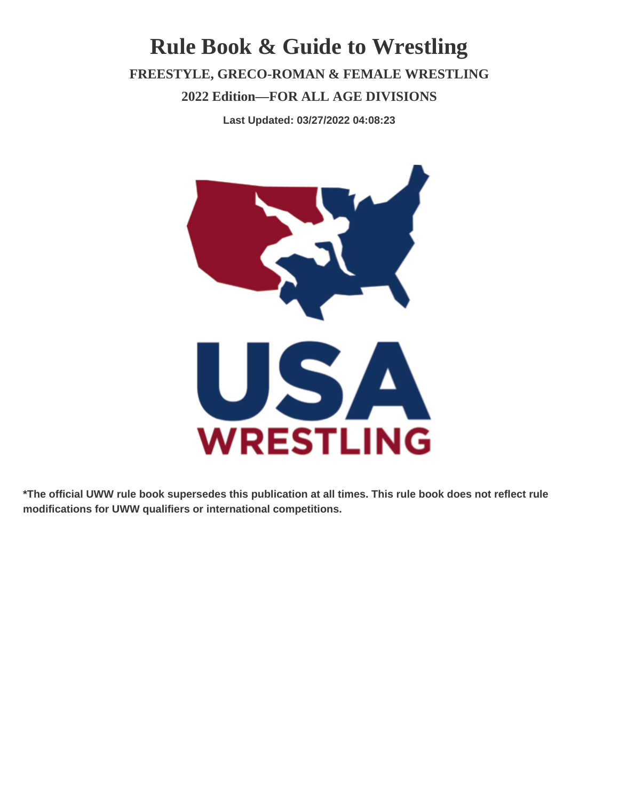### **Rule Book & Guide to Wrestling FREESTYLE, GRECO-ROMAN & FEMALE WRESTLING 2022 Edition—FOR ALL AGE DIVISIONS**

**Last Updated: 03/27/2022 04:08:23**



**\*The official UWW rule book supersedes this publication at all times. This rule book does not reflect rule modifications for UWW qualifiers or international competitions.**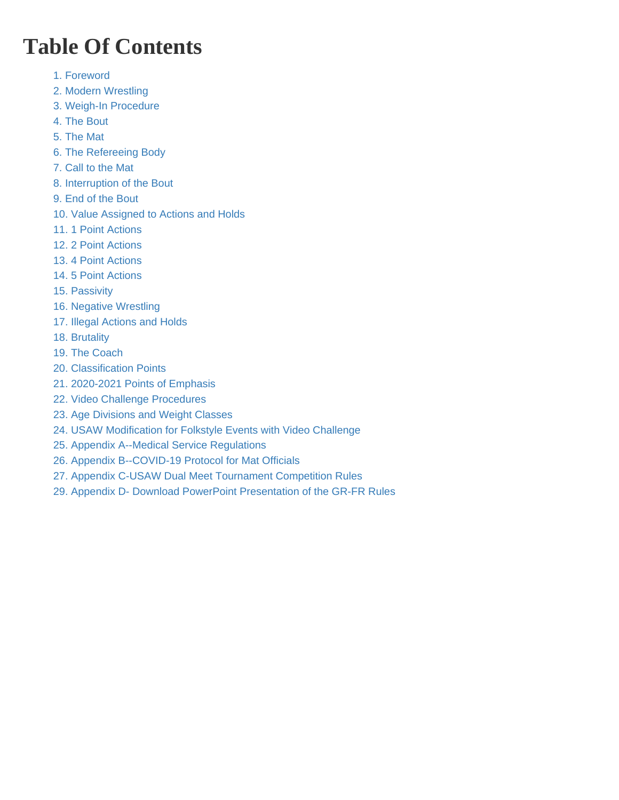# Table Of Contents

- [1. Foreword](#page-2-0)
- [2. Modern Wrestling](#page-2-0)
- [3. Weigh-In Procedure](#page-3-0)
- [4. The Bout](#page-4-0)
- [5. The Mat](#page-5-0)
- [6. The Refereeing Body](#page-6-0)
- [7. Call to the Mat](#page-7-0)
- [8. Interruption of the Bout](#page-7-0)
- [9. End of the Bout](#page-9-0)
- [10. Value Assigned to Actions and Holds](#page-10-0)
- [11. 1 Point Actions](#page-13-0)
- [12. 2 Point Actions](#page-14-0)
- [13. 4 Point Actions](#page-15-0)
- [14. 5 Point Actions](#page-15-0)
- [15. Passivity](#page-15-0)
- [16. Negative Wrestling](#page-17-0)
- [17. Illegal Actions and Holds](#page-18-0)
- [18. Brutality](#page-19-0)
- [19. The Coach](#page-20-0)
- [20. Classification Points](#page-20-0)
- [21. 2020-2021 Points of Emphasis](#page-21-0)
- [22. Video Challenge Procedures](#page-21-0)
- [23. Age Divisions and Weight Classes](#page-23-0)
- [24. USAW Modification for Folkstyle Events with Video Challenge](#page-23-0)
- [25. Appendix A--Medical Service Regulations](#page-26-0)
- [26. Appendix B--COVID-19 Protocol for Mat Officials](#page-30-0)
- [27. Appendix C-USAW Dual Meet Tournament Competition Rules](#page-31-0)
- [29. Appendix D- Download PowerPoint Presentation of the GR-FR Rules](#page-40-0)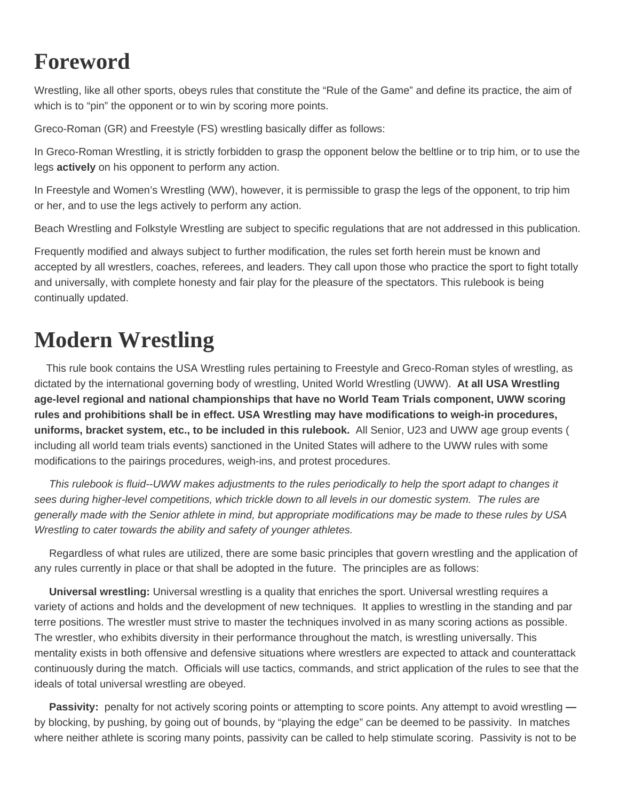### <span id="page-2-0"></span>**Foreword**

Wrestling, like all other sports, obeys rules that constitute the "Rule of the Game" and define its practice, the aim of which is to "pin" the opponent or to win by scoring more points.

Greco-Roman (GR) and Freestyle (FS) wrestling basically differ as follows:

In Greco-Roman Wrestling, it is strictly forbidden to grasp the opponent below the beltline or to trip him, or to use the legs **actively** on his opponent to perform any action.

In Freestyle and Women's Wrestling (WW), however, it is permissible to grasp the legs of the opponent, to trip him or her, and to use the legs actively to perform any action.

Beach Wrestling and Folkstyle Wrestling are subject to specific regulations that are not addressed in this publication.

Frequently modified and always subject to further modification, the rules set forth herein must be known and accepted by all wrestlers, coaches, referees, and leaders. They call upon those who practice the sport to fight totally and universally, with complete honesty and fair play for the pleasure of the spectators. This rulebook is being continually updated.

### **Modern Wrestling**

 This rule book contains the USA Wrestling rules pertaining to Freestyle and Greco-Roman styles of wrestling, as dictated by the international governing body of wrestling, United World Wrestling (UWW). **At all USA Wrestling age-level regional and national championships that have no World Team Trials component, UWW scoring rules and prohibitions shall be in effect. USA Wrestling may have modifications to weigh-in procedures, uniforms, bracket system, etc., to be included in this rulebook.** All Senior, U23 and UWW age group events ( including all world team trials events) sanctioned in the United States will adhere to the UWW rules with some modifications to the pairings procedures, weigh-ins, and protest procedures.

 This rulebook is fluid--UWW makes adjustments to the rules periodically to help the sport adapt to changes it sees during higher-level competitions, which trickle down to all levels in our domestic system. The rules are generally made with the Senior athlete in mind, but appropriate modifications may be made to these rules by USA Wrestling to cater towards the ability and safety of younger athletes.

 Regardless of what rules are utilized, there are some basic principles that govern wrestling and the application of any rules currently in place or that shall be adopted in the future. The principles are as follows:

 **Universal wrestling:** Universal wrestling is a quality that enriches the sport. Universal wrestling requires a variety of actions and holds and the development of new techniques. It applies to wrestling in the standing and par terre positions. The wrestler must strive to master the techniques involved in as many scoring actions as possible. The wrestler, who exhibits diversity in their performance throughout the match, is wrestling universally. This mentality exists in both offensive and defensive situations where wrestlers are expected to attack and counterattack continuously during the match. Officials will use tactics, commands, and strict application of the rules to see that the ideals of total universal wrestling are obeyed.

 **Passivity:** penalty for not actively scoring points or attempting to score points. Any attempt to avoid wrestling  by blocking, by pushing, by going out of bounds, by "playing the edge" can be deemed to be passivity. In matches where neither athlete is scoring many points, passivity can be called to help stimulate scoring. Passivity is not to be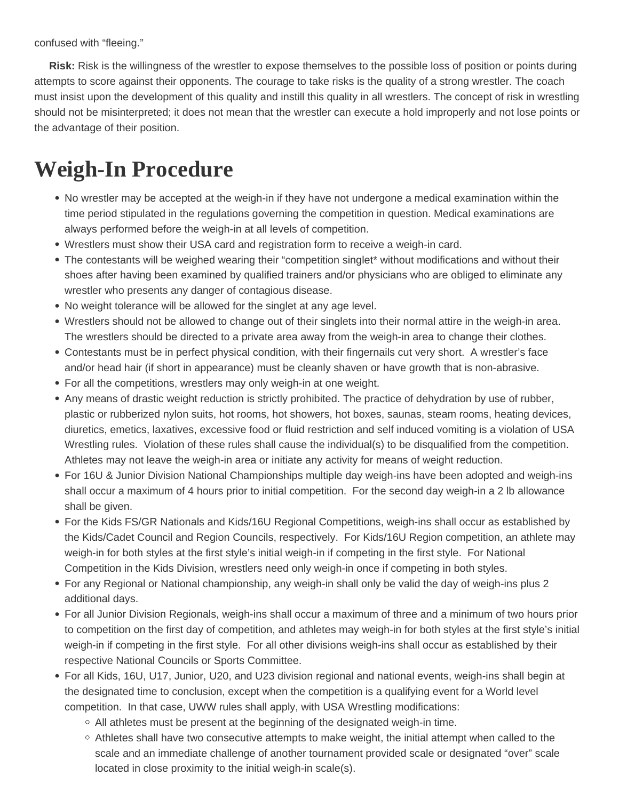<span id="page-3-0"></span>confused with "fleeing."

 **Risk:** Risk is the willingness of the wrestler to expose themselves to the possible loss of position or points during attempts to score against their opponents. The courage to take risks is the quality of a strong wrestler. The coach must insist upon the development of this quality and instill this quality in all wrestlers. The concept of risk in wrestling should not be misinterpreted; it does not mean that the wrestler can execute a hold improperly and not lose points or the advantage of their position.

### **Weigh-In Procedure**

- No wrestler may be accepted at the weigh-in if they have not undergone a medical examination within the time period stipulated in the regulations governing the competition in question. Medical examinations are always performed before the weigh-in at all levels of competition.
- Wrestlers must show their USA card and registration form to receive a weigh-in card.
- The contestants will be weighed wearing their "competition singlet\* without modifications and without their shoes after having been examined by qualified trainers and/or physicians who are obliged to eliminate any wrestler who presents any danger of contagious disease.
- No weight tolerance will be allowed for the singlet at any age level.
- Wrestlers should not be allowed to change out of their singlets into their normal attire in the weigh-in area. The wrestlers should be directed to a private area away from the weigh-in area to change their clothes.
- Contestants must be in perfect physical condition, with their fingernails cut very short. A wrestler's face and/or head hair (if short in appearance) must be cleanly shaven or have growth that is non-abrasive.
- For all the competitions, wrestlers may only weigh-in at one weight.
- Any means of drastic weight reduction is strictly prohibited. The practice of dehydration by use of rubber, plastic or rubberized nylon suits, hot rooms, hot showers, hot boxes, saunas, steam rooms, heating devices, diuretics, emetics, laxatives, excessive food or fluid restriction and self induced vomiting is a violation of USA Wrestling rules. Violation of these rules shall cause the individual(s) to be disqualified from the competition. Athletes may not leave the weigh-in area or initiate any activity for means of weight reduction.
- For 16U & Junior Division National Championships multiple day weigh-ins have been adopted and weigh-ins shall occur a maximum of 4 hours prior to initial competition. For the second day weigh-in a 2 lb allowance shall be given.
- For the Kids FS/GR Nationals and Kids/16U Regional Competitions, weigh-ins shall occur as established by the Kids/Cadet Council and Region Councils, respectively. For Kids/16U Region competition, an athlete may weigh-in for both styles at the first style's initial weigh-in if competing in the first style. For National Competition in the Kids Division, wrestlers need only weigh-in once if competing in both styles.
- For any Regional or National championship, any weigh-in shall only be valid the day of weigh-ins plus 2 additional days.
- For all Junior Division Regionals, weigh-ins shall occur a maximum of three and a minimum of two hours prior to competition on the first day of competition, and athletes may weigh-in for both styles at the first style's initial weigh-in if competing in the first style. For all other divisions weigh-ins shall occur as established by their respective National Councils or Sports Committee.
- For all Kids, 16U, U17, Junior, U20, and U23 division regional and national events, weigh-ins shall begin at the designated time to conclusion, except when the competition is a qualifying event for a World level competition. In that case, UWW rules shall apply, with USA Wrestling modifications:
	- $\circ$  All athletes must be present at the beginning of the designated weigh-in time.
	- $\circ$  Athletes shall have two consecutive attempts to make weight, the initial attempt when called to the scale and an immediate challenge of another tournament provided scale or designated "over" scale located in close proximity to the initial weigh-in scale(s).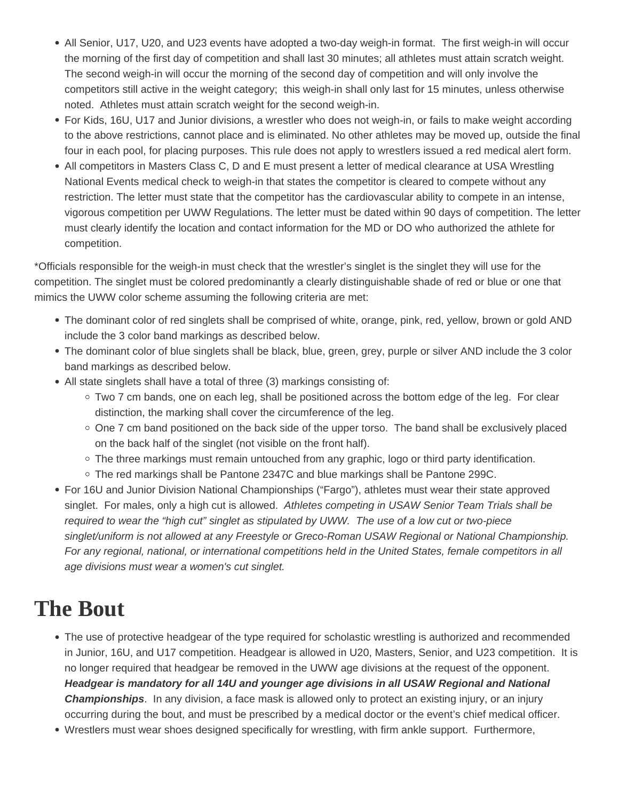- <span id="page-4-0"></span>All Senior, U17, U20, and U23 events have adopted a two-day weigh-in format. The first weigh-in will occur the morning of the first day of competition and shall last 30 minutes; all athletes must attain scratch weight. The second weigh-in will occur the morning of the second day of competition and will only involve the competitors still active in the weight category; this weigh-in shall only last for 15 minutes, unless otherwise noted. Athletes must attain scratch weight for the second weigh-in.
- For Kids, 16U, U17 and Junior divisions, a wrestler who does not weigh-in, or fails to make weight according to the above restrictions, cannot place and is eliminated. No other athletes may be moved up, outside the final four in each pool, for placing purposes. This rule does not apply to wrestlers issued a red medical alert form.
- All competitors in Masters Class C, D and E must present a letter of medical clearance at USA Wrestling National Events medical check to weigh-in that states the competitor is cleared to compete without any restriction. The letter must state that the competitor has the cardiovascular ability to compete in an intense, vigorous competition per UWW Regulations. The letter must be dated within 90 days of competition. The letter must clearly identify the location and contact information for the MD or DO who authorized the athlete for competition.

\*Officials responsible for the weigh-in must check that the wrestler's singlet is the singlet they will use for the competition. The singlet must be colored predominantly a clearly distinguishable shade of red or blue or one that mimics the UWW color scheme assuming the following criteria are met:

- The dominant color of red singlets shall be comprised of white, orange, pink, red, yellow, brown or gold AND include the 3 color band markings as described below.
- The dominant color of blue singlets shall be black, blue, green, grey, purple or silver AND include the 3 color band markings as described below.
- All state singlets shall have a total of three (3) markings consisting of:
	- $\circ$  Two 7 cm bands, one on each leg, shall be positioned across the bottom edge of the leg. For clear distinction, the marking shall cover the circumference of the leg.
	- $\circ$  One 7 cm band positioned on the back side of the upper torso. The band shall be exclusively placed on the back half of the singlet (not visible on the front half).
	- $\circ$  The three markings must remain untouched from any graphic, logo or third party identification.
	- $\circ$  The red markings shall be Pantone 2347C and blue markings shall be Pantone 299C.
- For 16U and Junior Division National Championships ("Fargo"), athletes must wear their state approved singlet. For males, only a high cut is allowed. Athletes competing in USAW Senior Team Trials shall be required to wear the "high cut" singlet as stipulated by UWW. The use of a low cut or two-piece singlet/uniform is not allowed at any Freestyle or Greco-Roman USAW Regional or National Championship. For any regional, national, or international competitions held in the United States, female competitors in all age divisions must wear a women's cut singlet.

### **The Bout**

- The use of protective headgear of the type required for scholastic wrestling is authorized and recommended in Junior, 16U, and U17 competition. Headgear is allowed in U20, Masters, Senior, and U23 competition. It is no longer required that headgear be removed in the UWW age divisions at the request of the opponent. **Headgear is mandatory for all 14U and younger age divisions in all USAW Regional and National Championships**. In any division, a face mask is allowed only to protect an existing injury, or an injury occurring during the bout, and must be prescribed by a medical doctor or the event's chief medical officer.
- Wrestlers must wear shoes designed specifically for wrestling, with firm ankle support. Furthermore,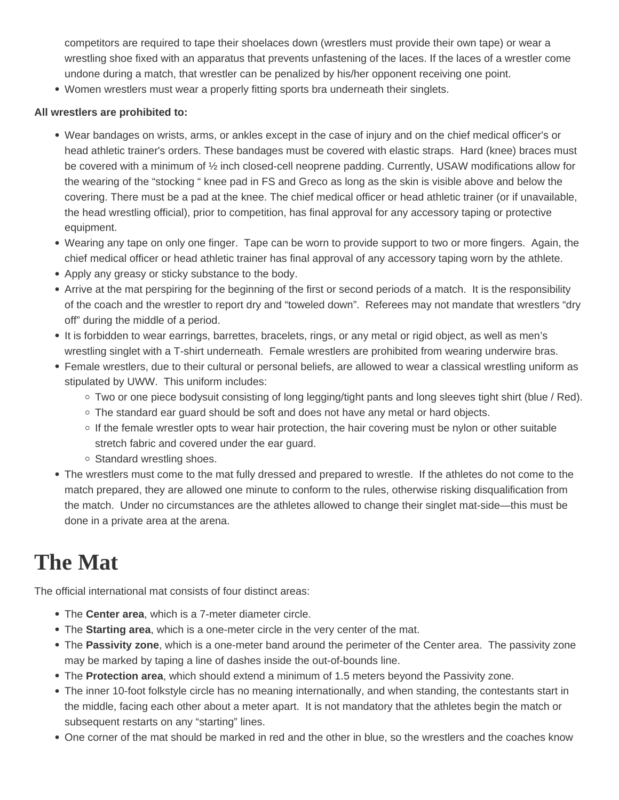<span id="page-5-0"></span>competitors are required to tape their shoelaces down (wrestlers must provide their own tape) or wear a wrestling shoe fixed with an apparatus that prevents unfastening of the laces. If the laces of a wrestler come undone during a match, that wrestler can be penalized by his/her opponent receiving one point.

Women wrestlers must wear a properly fitting sports bra underneath their singlets.

#### **All wrestlers are prohibited to:**

- Wear bandages on wrists, arms, or ankles except in the case of injury and on the chief medical officer's or head athletic trainer's orders. These bandages must be covered with elastic straps. Hard (knee) braces must be covered with a minimum of ½ inch closed-cell neoprene padding. Currently, USAW modifications allow for the wearing of the "stocking " knee pad in FS and Greco as long as the skin is visible above and below the covering. There must be a pad at the knee. The chief medical officer or head athletic trainer (or if unavailable, the head wrestling official), prior to competition, has final approval for any accessory taping or protective equipment.
- Wearing any tape on only one finger. Tape can be worn to provide support to two or more fingers. Again, the chief medical officer or head athletic trainer has final approval of any accessory taping worn by the athlete.
- Apply any greasy or sticky substance to the body.
- Arrive at the mat perspiring for the beginning of the first or second periods of a match. It is the responsibility of the coach and the wrestler to report dry and "toweled down". Referees may not mandate that wrestlers "dry off" during the middle of a period.
- It is forbidden to wear earrings, barrettes, bracelets, rings, or any metal or rigid object, as well as men's wrestling singlet with a T-shirt underneath. Female wrestlers are prohibited from wearing underwire bras.
- Female wrestlers, due to their cultural or personal beliefs, are allowed to wear a classical wrestling uniform as stipulated by UWW. This uniform includes:
	- $\circ$  Two or one piece bodysuit consisting of long legging/tight pants and long sleeves tight shirt (blue / Red).
	- $\circ$  The standard ear quard should be soft and does not have any metal or hard objects.
	- $\circ$  If the female wrestler opts to wear hair protection, the hair covering must be nylon or other suitable stretch fabric and covered under the ear guard.
	- Standard wrestling shoes.
- The wrestlers must come to the mat fully dressed and prepared to wrestle. If the athletes do not come to the match prepared, they are allowed one minute to conform to the rules, otherwise risking disqualification from the match. Under no circumstances are the athletes allowed to change their singlet mat-side—this must be done in a private area at the arena.

### **The Mat**

The official international mat consists of four distinct areas:

- The **Center area**, which is a 7-meter diameter circle.
- The **Starting area**, which is a one-meter circle in the very center of the mat.
- The **Passivity zone**, which is a one-meter band around the perimeter of the Center area. The passivity zone may be marked by taping a line of dashes inside the out-of-bounds line.
- The **Protection area**, which should extend a minimum of 1.5 meters beyond the Passivity zone.
- The inner 10-foot folkstyle circle has no meaning internationally, and when standing, the contestants start in the middle, facing each other about a meter apart. It is not mandatory that the athletes begin the match or subsequent restarts on any "starting" lines.
- One corner of the mat should be marked in red and the other in blue, so the wrestlers and the coaches know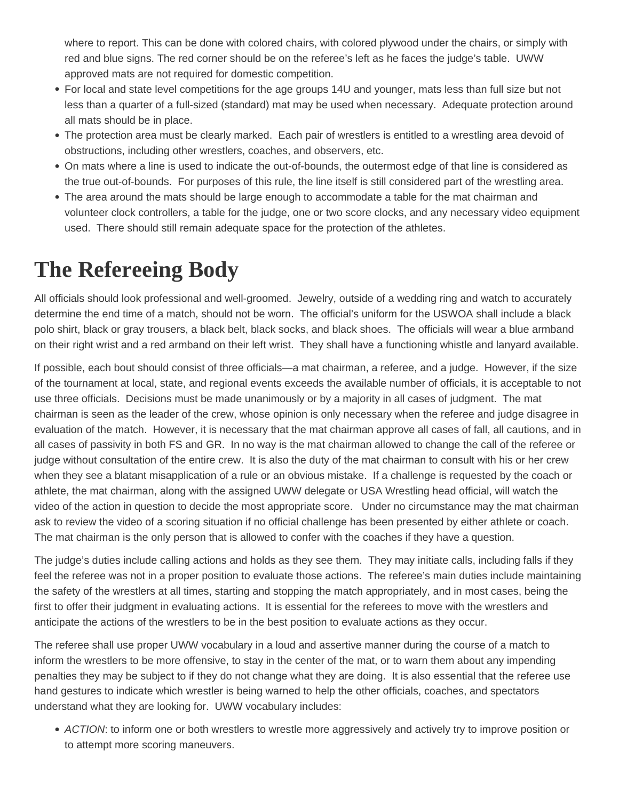<span id="page-6-0"></span>where to report. This can be done with colored chairs, with colored plywood under the chairs, or simply with red and blue signs. The red corner should be on the referee's left as he faces the judge's table. UWW approved mats are not required for domestic competition.

- For local and state level competitions for the age groups 14U and younger, mats less than full size but not less than a quarter of a full-sized (standard) mat may be used when necessary. Adequate protection around all mats should be in place.
- The protection area must be clearly marked. Each pair of wrestlers is entitled to a wrestling area devoid of obstructions, including other wrestlers, coaches, and observers, etc.
- On mats where a line is used to indicate the out-of-bounds, the outermost edge of that line is considered as the true out-of-bounds. For purposes of this rule, the line itself is still considered part of the wrestling area.
- The area around the mats should be large enough to accommodate a table for the mat chairman and volunteer clock controllers, a table for the judge, one or two score clocks, and any necessary video equipment used. There should still remain adequate space for the protection of the athletes.

## **The Refereeing Body**

All officials should look professional and well-groomed. Jewelry, outside of a wedding ring and watch to accurately determine the end time of a match, should not be worn. The official's uniform for the USWOA shall include a black polo shirt, black or gray trousers, a black belt, black socks, and black shoes. The officials will wear a blue armband on their right wrist and a red armband on their left wrist. They shall have a functioning whistle and lanyard available.

If possible, each bout should consist of three officials—a mat chairman, a referee, and a judge. However, if the size of the tournament at local, state, and regional events exceeds the available number of officials, it is acceptable to not use three officials. Decisions must be made unanimously or by a majority in all cases of judgment. The mat chairman is seen as the leader of the crew, whose opinion is only necessary when the referee and judge disagree in evaluation of the match. However, it is necessary that the mat chairman approve all cases of fall, all cautions, and in all cases of passivity in both FS and GR. In no way is the mat chairman allowed to change the call of the referee or judge without consultation of the entire crew. It is also the duty of the mat chairman to consult with his or her crew when they see a blatant misapplication of a rule or an obvious mistake. If a challenge is requested by the coach or athlete, the mat chairman, along with the assigned UWW delegate or USA Wrestling head official, will watch the video of the action in question to decide the most appropriate score. Under no circumstance may the mat chairman ask to review the video of a scoring situation if no official challenge has been presented by either athlete or coach. The mat chairman is the only person that is allowed to confer with the coaches if they have a question.

The judge's duties include calling actions and holds as they see them. They may initiate calls, including falls if they feel the referee was not in a proper position to evaluate those actions. The referee's main duties include maintaining the safety of the wrestlers at all times, starting and stopping the match appropriately, and in most cases, being the first to offer their judgment in evaluating actions. It is essential for the referees to move with the wrestlers and anticipate the actions of the wrestlers to be in the best position to evaluate actions as they occur.

The referee shall use proper UWW vocabulary in a loud and assertive manner during the course of a match to inform the wrestlers to be more offensive, to stay in the center of the mat, or to warn them about any impending penalties they may be subject to if they do not change what they are doing. It is also essential that the referee use hand gestures to indicate which wrestler is being warned to help the other officials, coaches, and spectators understand what they are looking for. UWW vocabulary includes:

• ACTION: to inform one or both wrestlers to wrestle more aggressively and actively try to improve position or to attempt more scoring maneuvers.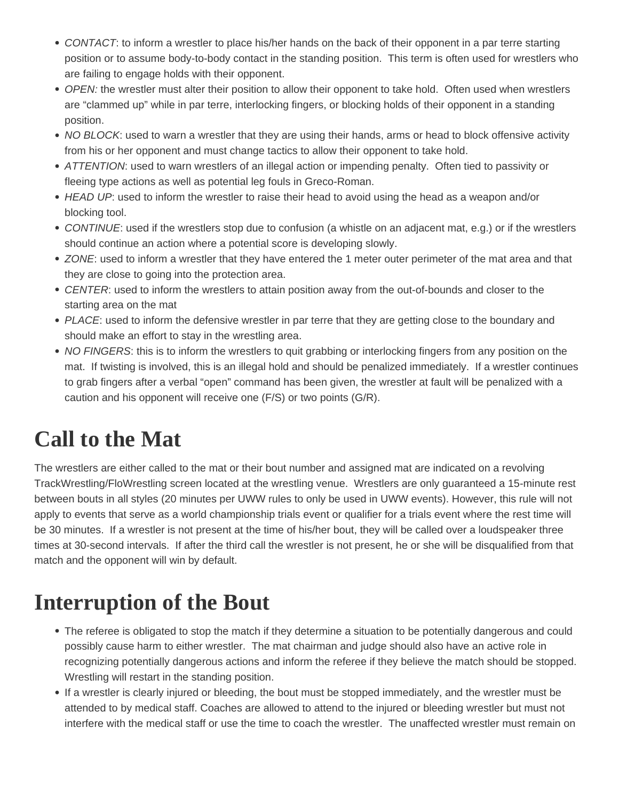- <span id="page-7-0"></span>• CONTACT: to inform a wrestler to place his/her hands on the back of their opponent in a par terre starting position or to assume body-to-body contact in the standing position. This term is often used for wrestlers who are failing to engage holds with their opponent.
- OPEN: the wrestler must alter their position to allow their opponent to take hold. Often used when wrestlers are "clammed up" while in par terre, interlocking fingers, or blocking holds of their opponent in a standing position.
- NO BLOCK: used to warn a wrestler that they are using their hands, arms or head to block offensive activity from his or her opponent and must change tactics to allow their opponent to take hold.
- ATTENTION: used to warn wrestlers of an illegal action or impending penalty. Often tied to passivity or fleeing type actions as well as potential leg fouls in Greco-Roman.
- HEAD UP: used to inform the wrestler to raise their head to avoid using the head as a weapon and/or blocking tool.
- CONTINUE: used if the wrestlers stop due to confusion (a whistle on an adjacent mat, e.g.) or if the wrestlers should continue an action where a potential score is developing slowly.
- ZONE: used to inform a wrestler that they have entered the 1 meter outer perimeter of the mat area and that they are close to going into the protection area.
- CENTER: used to inform the wrestlers to attain position away from the out-of-bounds and closer to the starting area on the mat
- PLACE: used to inform the defensive wrestler in par terre that they are getting close to the boundary and should make an effort to stay in the wrestling area.
- NO FINGERS: this is to inform the wrestlers to quit grabbing or interlocking fingers from any position on the mat. If twisting is involved, this is an illegal hold and should be penalized immediately. If a wrestler continues to grab fingers after a verbal "open" command has been given, the wrestler at fault will be penalized with a caution and his opponent will receive one (F/S) or two points (G/R).

# **Call to the Mat**

The wrestlers are either called to the mat or their bout number and assigned mat are indicated on a revolving TrackWrestling/FloWrestling screen located at the wrestling venue. Wrestlers are only guaranteed a 15-minute rest between bouts in all styles (20 minutes per UWW rules to only be used in UWW events). However, this rule will not apply to events that serve as a world championship trials event or qualifier for a trials event where the rest time will be 30 minutes. If a wrestler is not present at the time of his/her bout, they will be called over a loudspeaker three times at 30-second intervals. If after the third call the wrestler is not present, he or she will be disqualified from that match and the opponent will win by default.

## **Interruption of the Bout**

- The referee is obligated to stop the match if they determine a situation to be potentially dangerous and could possibly cause harm to either wrestler. The mat chairman and judge should also have an active role in recognizing potentially dangerous actions and inform the referee if they believe the match should be stopped. Wrestling will restart in the standing position.
- If a wrestler is clearly injured or bleeding, the bout must be stopped immediately, and the wrestler must be attended to by medical staff. Coaches are allowed to attend to the injured or bleeding wrestler but must not interfere with the medical staff or use the time to coach the wrestler. The unaffected wrestler must remain on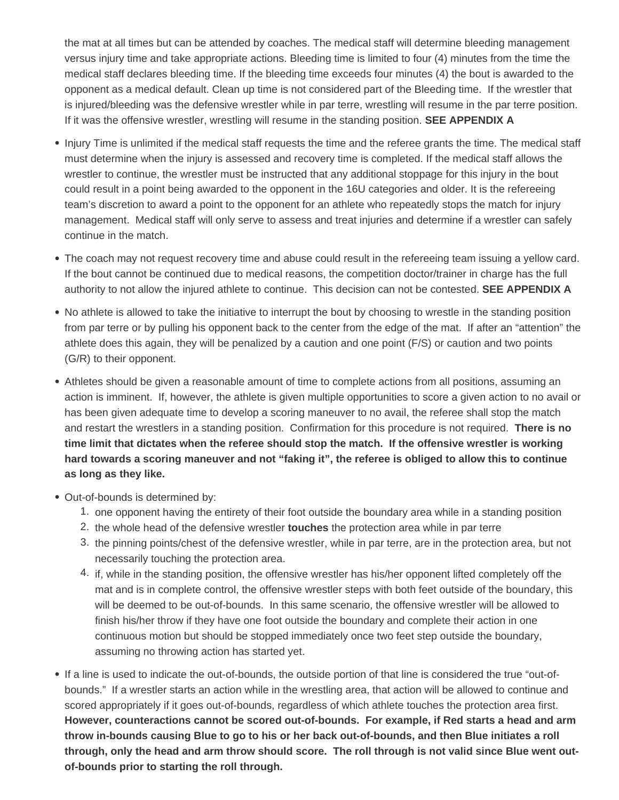the mat at all times but can be attended by coaches. The medical staff will determine bleeding management versus injury time and take appropriate actions. Bleeding time is limited to four (4) minutes from the time the medical staff declares bleeding time. If the bleeding time exceeds four minutes (4) the bout is awarded to the opponent as a medical default. Clean up time is not considered part of the Bleeding time. If the wrestler that is injured/bleeding was the defensive wrestler while in par terre, wrestling will resume in the par terre position. If it was the offensive wrestler, wrestling will resume in the standing position. **SEE APPENDIX A**

- Injury Time is unlimited if the medical staff requests the time and the referee grants the time. The medical staff must determine when the injury is assessed and recovery time is completed. If the medical staff allows the wrestler to continue, the wrestler must be instructed that any additional stoppage for this injury in the bout could result in a point being awarded to the opponent in the 16U categories and older. It is the refereeing team's discretion to award a point to the opponent for an athlete who repeatedly stops the match for injury management. Medical staff will only serve to assess and treat injuries and determine if a wrestler can safely continue in the match.
- The coach may not request recovery time and abuse could result in the refereeing team issuing a yellow card. If the bout cannot be continued due to medical reasons, the competition doctor/trainer in charge has the full authority to not allow the injured athlete to continue. This decision can not be contested. **SEE APPENDIX A**
- No athlete is allowed to take the initiative to interrupt the bout by choosing to wrestle in the standing position from par terre or by pulling his opponent back to the center from the edge of the mat. If after an "attention" the athlete does this again, they will be penalized by a caution and one point (F/S) or caution and two points (G/R) to their opponent.
- Athletes should be given a reasonable amount of time to complete actions from all positions, assuming an action is imminent. If, however, the athlete is given multiple opportunities to score a given action to no avail or has been given adequate time to develop a scoring maneuver to no avail, the referee shall stop the match and restart the wrestlers in a standing position. Confirmation for this procedure is not required. **There is no time limit that dictates when the referee should stop the match. If the offensive wrestler is working hard towards a scoring maneuver and not "faking it", the referee is obliged to allow this to continue as long as they like.**
- Out-of-bounds is determined by:
	- 1. one opponent having the entirety of their foot outside the boundary area while in a standing position
	- 2. the whole head of the defensive wrestler **touches** the protection area while in par terre
	- 3. the pinning points/chest of the defensive wrestler, while in par terre, are in the protection area, but not necessarily touching the protection area.
	- 4. if, while in the standing position, the offensive wrestler has his/her opponent lifted completely off the mat and is in complete control, the offensive wrestler steps with both feet outside of the boundary, this will be deemed to be out-of-bounds. In this same scenario, the offensive wrestler will be allowed to finish his/her throw if they have one foot outside the boundary and complete their action in one continuous motion but should be stopped immediately once two feet step outside the boundary, assuming no throwing action has started yet.
- If a line is used to indicate the out-of-bounds, the outside portion of that line is considered the true "out-ofbounds." If a wrestler starts an action while in the wrestling area, that action will be allowed to continue and scored appropriately if it goes out-of-bounds, regardless of which athlete touches the protection area first. **However, counteractions cannot be scored out-of-bounds. For example, if Red starts a head and arm throw in-bounds causing Blue to go to his or her back out-of-bounds, and then Blue initiates a roll through, only the head and arm throw should score. The roll through is not valid since Blue went outof-bounds prior to starting the roll through.**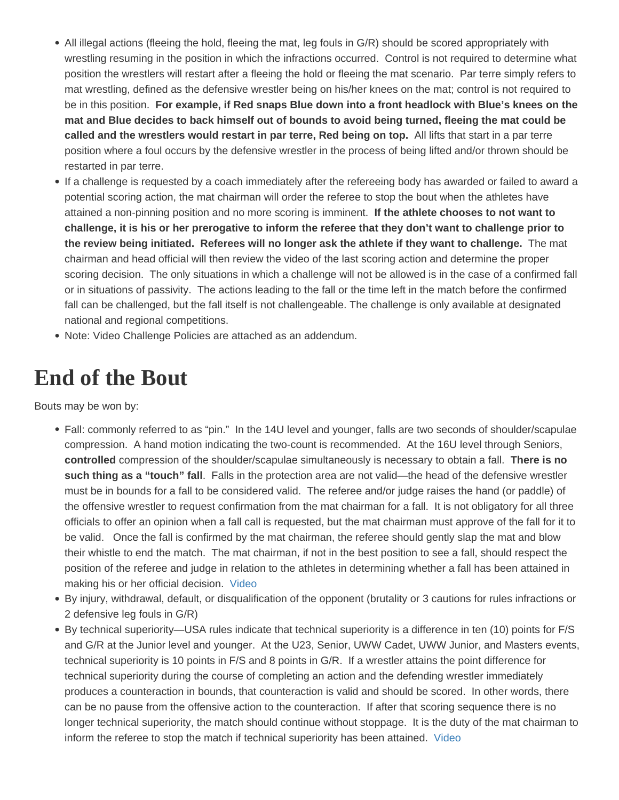- <span id="page-9-0"></span>All illegal actions (fleeing the hold, fleeing the mat, leg fouls in G/R) should be scored appropriately with wrestling resuming in the position in which the infractions occurred. Control is not required to determine what position the wrestlers will restart after a fleeing the hold or fleeing the mat scenario. Par terre simply refers to mat wrestling, defined as the defensive wrestler being on his/her knees on the mat; control is not required to be in this position. For example, if Red snaps Blue down into a front headlock with Blue's knees on the mat and Blue decides to back himself out of bounds to avoid being turned, fleeing the mat could be called and the wrestlers would restart in par terre, Red being on top. All lifts that start in a par terre position where a foul occurs by the defensive wrestler in the process of being lifted and/or thrown should be restarted in par terre.
- If a challenge is requested by a coach immediately after the refereeing body has awarded or failed to award a potential scoring action, the mat chairman will order the referee to stop the bout when the athletes have attained a non-pinning position and no more scoring is imminent. If the athlete chooses to not want to challenge, it is his or her prerogative to inform the referee that they don't want to challenge prior to the review being initiated. Referees will no longer ask the athlete if they want to challenge. The mat chairman and head official will then review the video of the last scoring action and determine the proper scoring decision. The only situations in which a challenge will not be allowed is in the case of a confirmed fall or in situations of passivity. The actions leading to the fall or the time left in the match before the confirmed fall can be challenged, but the fall itself is not challengeable. The challenge is only available at designated national and regional competitions.
- Note: Video Challenge Policies are attached as an addendum.

### End of the Bout

Bouts may be won by:

- Fall: commonly referred to as "pin." In the 14U level and younger, falls are two seconds of shoulder/scapulae compression. A hand motion indicating the two-count is recommended. At the 16U level through Seniors, controlled compression of the shoulder/scapulae simultaneously is necessary to obtain a fall. There is no such thing as a "touch" fall . Falls in the protection area are not valid—the head of the defensive wrestler must be in bounds for a fall to be considered valid. The referee and/or judge raises the hand (or paddle) of the offensive wrestler to request confirmation from the mat chairman for a fall. It is not obligatory for all three officials to offer an opinion when a fall call is requested, but the mat chairman must approve of the fall for it to be valid. Once the fall is confirmed by the mat chairman, the referee should gently slap the mat and blow their whistle to end the match. The mat chairman, if not in the best position to see a fall, should respect the position of the referee and judge in relation to the athletes in determining whether a fall has been attained in making his or her official decision. [Video](https://drive.google.com/file/d/0BwikwLofPZTITUxhbldOWTJtUHM/view?usp=sharing)
- By injury, withdrawal, default, or disqualification of the opponent (brutality or 3 cautions for rules infractions or 2 defensive leg fouls in G/R)
- By technical superiority—USA rules indicate that technical superiority is a difference in ten (10) points for F/S and G/R at the Junior level and younger. At the U23, Senior, UWW Cadet, UWW Junior, and Masters events, technical superiority is 10 points in F/S and 8 points in G/R. If a wrestler attains the point difference for technical superiority during the course of completing an action and the defending wrestler immediately produces a counteraction in bounds, that counteraction is valid and should be scored. In other words, there can be no pause from the offensive action to the counteraction. If after that scoring sequence there is no longer technical superiority, the match should continue without stoppage. It is the duty of the mat chairman to inform the referee to stop the match if technical superiority has been attained. [Video](https://drive.google.com/file/d/0BwikwLofPZTIUkFOT2lfNEhxbFU/view?usp=sharing)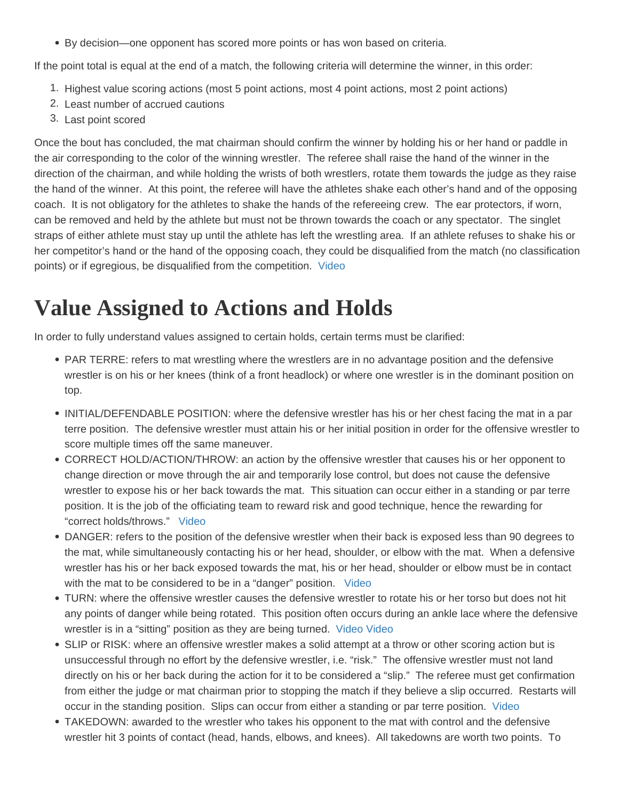<span id="page-10-0"></span>By decision—one opponent has scored more points or has won based on criteria.

If the point total is equal at the end of a match, the following criteria will determine the winner, in this order:

- 1. Highest value scoring actions (most 5 point actions, most 4 point actions, most 2 point actions)
- 2. Least number of accrued cautions
- 3. Last point scored

Once the bout has concluded, the mat chairman should confirm the winner by holding his or her hand or paddle in the air corresponding to the color of the winning wrestler. The referee shall raise the hand of the winner in the direction of the chairman, and while holding the wrists of both wrestlers, rotate them towards the judge as they raise the hand of the winner. At this point, the referee will have the athletes shake each other's hand and of the opposing coach. It is not obligatory for the athletes to shake the hands of the refereeing crew. The ear protectors, if worn, can be removed and held by the athlete but must not be thrown towards the coach or any spectator. The singlet straps of either athlete must stay up until the athlete has left the wrestling area. If an athlete refuses to shake his or her competitor's hand or the hand of the opposing coach, they could be disqualified from the match (no classification points) or if egregious, be disqualified from the competition. [Video](https://drive.google.com/file/d/0BwikwLofPZTIMTVuTVN3UGdGNEk/view?usp=sharing)

# Value Assigned to Actions and Holds

In order to fully understand values assigned to certain holds, certain terms must be clarified:

- PAR TERRE: refers to mat wrestling where the wrestlers are in no advantage position and the defensive wrestler is on his or her knees (think of a front headlock) or where one wrestler is in the dominant position on top.
- INITIAL/DEFENDABLE POSITION: where the defensive wrestler has his or her chest facing the mat in a par terre position. The defensive wrestler must attain his or her initial position in order for the offensive wrestler to score multiple times off the same maneuver.
- CORRECT HOLD/ACTION/THROW: an action by the offensive wrestler that causes his or her opponent to change direction or move through the air and temporarily lose control, but does not cause the defensive wrestler to expose his or her back towards the mat. This situation can occur either in a standing or par terre position. It is the job of the officiating team to reward risk and good technique, hence the rewarding for "correct holds/throws." [Video](https://drive.google.com/file/d/0BwikwLofPZTIaTd6QkdQU2NyeEk/view?usp=sharing)
- DANGER: refers to the position of the defensive wrestler when their back is exposed less than 90 degrees to the mat, while simultaneously contacting his or her head, shoulder, or elbow with the mat. When a defensive wrestler has his or her back exposed towards the mat, his or her head, shoulder or elbow must be in contact with the mat to be considered to be in a "danger" position. [Video](https://drive.google.com/file/d/0BwikwLofPZTIRTNuQnlOUGdueTA/view?usp=sharing)
- TURN: where the offensive wrestler causes the defensive wrestler to rotate his or her torso but does not hit any points of danger while being rotated. This position often occurs during an ankle lace where the defensive wrestler is in a "sitting" position as they are being turned. [Video](https://drive.google.com/file/d/0BwikwLofPZTINjI2YnFpZmZWbk0/view?usp=sharing) [Video](https://drive.google.com/file/d/0BwikwLofPZTITVh2ZE1lSUd3a0k/view?usp=sharing)
- SLIP or RISK: where an offensive wrestler makes a solid attempt at a throw or other scoring action but is unsuccessful through no effort by the defensive wrestler, i.e. "risk." The offensive wrestler must not land directly on his or her back during the action for it to be considered a "slip." The referee must get confirmation from either the judge or mat chairman prior to stopping the match if they believe a slip occurred. Restarts will occur in the standing position. Slips can occur from either a standing or par terre position. [Video](https://drive.google.com/file/d/0BwikwLofPZTIaTd6QkdQU2NyeEk/view?usp=sharing)
- TAKEDOWN: awarded to the wrestler who takes his opponent to the mat with control and the defensive wrestler hit 3 points of contact (head, hands, elbows, and knees). All takedowns are worth two points. To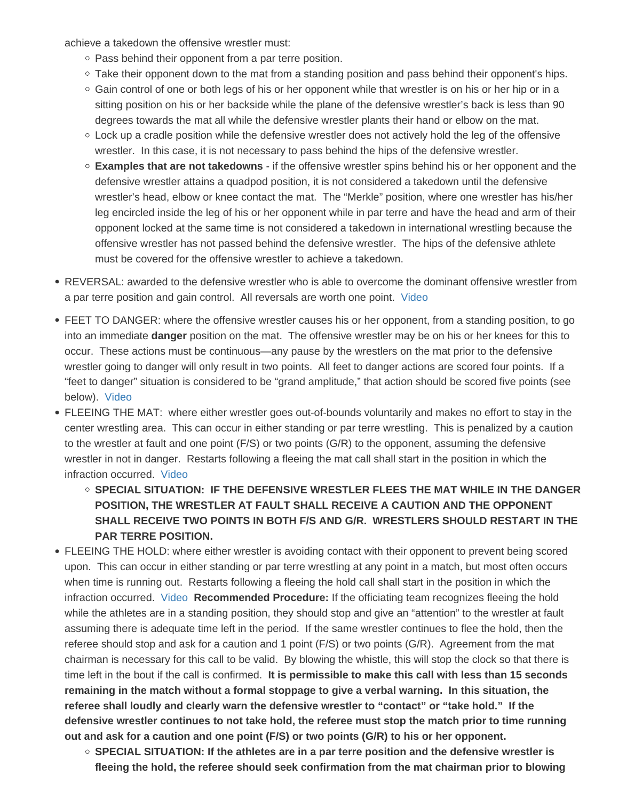achieve a takedown the offensive wrestler must:

- $\circ$  Pass behind their opponent from a par terre position.
- $\circ$  Take their opponent down to the mat from a standing position and pass behind their opponent's hips.
- $\circ$  Gain control of one or both legs of his or her opponent while that wrestler is on his or her hip or in a sitting position on his or her backside while the plane of the defensive wrestler's back is less than 90 degrees towards the mat all while the defensive wrestler plants their hand or elbow on the mat.
- $\circ$  Lock up a cradle position while the defensive wrestler does not actively hold the leg of the offensive wrestler. In this case, it is not necessary to pass behind the hips of the defensive wrestler.
- $\circ$  Examples that are not takedowns if the offensive wrestler spins behind his or her opponent and the defensive wrestler attains a quadpod position, it is not considered a takedown until the defensive wrestler's head, elbow or knee contact the mat. The "Merkle" position, where one wrestler has his/her leg encircled inside the leg of his or her opponent while in par terre and have the head and arm of their opponent locked at the same time is not considered a takedown in international wrestling because the offensive wrestler has not passed behind the defensive wrestler. The hips of the defensive athlete must be covered for the offensive wrestler to achieve a takedown.
- REVERSAL: awarded to the defensive wrestler who is able to overcome the dominant offensive wrestler from a par terre position and gain control. All reversals are worth one point. [Video](https://drive.google.com/file/d/0BwikwLofPZTIejd4OEdkZUxPTEU/view?usp=sharing)
- FEET TO DANGER: where the offensive wrestler causes his or her opponent, from a standing position, to go into an immediate danger position on the mat. The offensive wrestler may be on his or her knees for this to occur. These actions must be continuous—any pause by the wrestlers on the mat prior to the defensive wrestler going to danger will only result in two points. All feet to danger actions are scored four points. If a "feet to danger" situation is considered to be "grand amplitude," that action should be scored five points (see below). [Video](https://drive.google.com/file/d/0BwikwLofPZTISmRITkRxdXRrbGM/view?usp=sharing)
- FLEEING THE MAT: where either wrestler goes out-of-bounds voluntarily and makes no effort to stay in the center wrestling area. This can occur in either standing or par terre wrestling. This is penalized by a caution to the wrestler at fault and one point (F/S) or two points (G/R) to the opponent, assuming the defensive wrestler in not in danger. Restarts following a fleeing the mat call shall start in the position in which the infraction occurred. [Video](https://drive.google.com/file/d/0BwikwLofPZTINTQtOHBXaHhZbkE/view?usp=sharing)
	- $\circ$  SPECIAL SITUATION: IF THE DEFENSIVE WRESTLER FLEES THE MAT WHILE IN THE DANGER POSITION, THE WRESTLER AT FAULT SHALL RECEIVE A CAUTION AND THE OPPONENT SHALL RECEIVE TWO POINTS IN BOTH F/S AND G/R. WRESTLERS SHOULD RESTART IN THE PAR TERRE POSITION.
- FLEEING THE HOLD: where either wrestler is avoiding contact with their opponent to prevent being scored upon. This can occur in either standing or par terre wrestling at any point in a match, but most often occurs when time is running out. Restarts following a fleeing the hold call shall start in the position in which the infraction occurred. [Video](https://drive.google.com/file/d/0BwikwLofPZTIQUpJM3hEaEVJV00/view?usp=sharing) Recommended Procedure: If the officiating team recognizes fleeing the hold while the athletes are in a standing position, they should stop and give an "attention" to the wrestler at fault assuming there is adequate time left in the period. If the same wrestler continues to flee the hold, then the referee should stop and ask for a caution and 1 point (F/S) or two points (G/R). Agreement from the mat chairman is necessary for this call to be valid. By blowing the whistle, this will stop the clock so that there is time left in the bout if the call is confirmed. It is permissible to make this call with less than 15 seconds remaining in the match without a formal stoppage to give a verbal warning. In this situation, the referee shall loudly and clearly warn the defensive wrestler to "contact" or "take hold." If the defensive wrestler continues to not take hold, the referee must stop the match prior to time running out and ask for a caution and one point (F/S) or two points (G/R) to his or her opponent.
	- $\circ$  SPECIAL SITUATION: If the athletes are in a par terre position and the defensive wrestler is fleeing the hold, the referee should seek confirmation from the mat chairman prior to blowing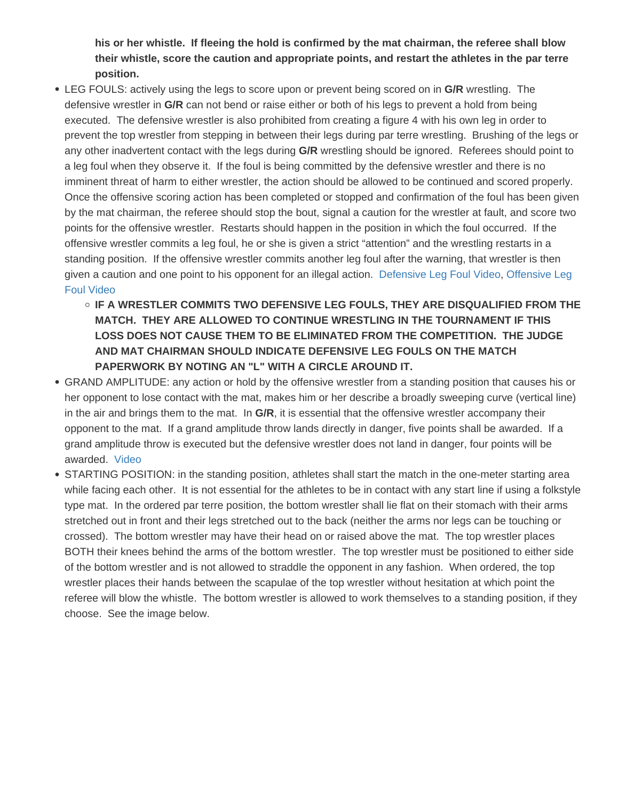his or her whistle. If fleeing the hold is confirmed by the mat chairman, the referee shall blow their whistle, score the caution and appropriate points, and restart the athletes in the par terre position.

- LEG FOULS: actively using the legs to score upon or prevent being scored on in G/R wrestling. The defensive wrestler in G/R can not bend or raise either or both of his legs to prevent a hold from being executed. The defensive wrestler is also prohibited from creating a figure 4 with his own leg in order to prevent the top wrestler from stepping in between their legs during par terre wrestling. Brushing of the legs or any other inadvertent contact with the legs during G/R wrestling should be ignored. Referees should point to a leg foul when they observe it. If the foul is being committed by the defensive wrestler and there is no imminent threat of harm to either wrestler, the action should be allowed to be continued and scored properly. Once the offensive scoring action has been completed or stopped and confirmation of the foul has been given by the mat chairman, the referee should stop the bout, signal a caution for the wrestler at fault, and score two points for the offensive wrestler. Restarts should happen in the position in which the foul occurred. If the offensive wrestler commits a leg foul, he or she is given a strict "attention" and the wrestling restarts in a standing position. If the offensive wrestler commits another leg foul after the warning, that wrestler is then given a caution and one point to his opponent for an illegal action. [Defensive Leg Foul Video](https://drive.google.com/file/d/0BwikwLofPZTIVXlyYllUc1ZORms/view?usp=sharing), [Offensive Leg](https://drive.google.com/file/d/0BwikwLofPZTINGpHY0lkR0w2eVU/view?usp=sharing)  [Foul Video](https://drive.google.com/file/d/0BwikwLofPZTINGpHY0lkR0w2eVU/view?usp=sharing)
	- IF A WRESTLER COMMITS TWO DEFENSIVE LEG FOULS, THEY ARE DISQUALIFIED FROM THE MATCH. THEY ARE ALLOWED TO CONTINUE WRESTLING IN THE TOURNAMENT IF THIS LOSS DOES NOT CAUSE THEM TO BE ELIMINATED FROM THE COMPETITION. THE JUDGE AND MAT CHAIRMAN SHOULD INDICATE DEFENSIVE LEG FOULS ON THE MATCH PAPERWORK BY NOTING AN "L" WITH A CIRCLE AROUND IT.
- GRAND AMPLITUDE: any action or hold by the offensive wrestler from a standing position that causes his or her opponent to lose contact with the mat, makes him or her describe a broadly sweeping curve (vertical line) in the air and brings them to the mat. In G/R, it is essential that the offensive wrestler accompany their opponent to the mat. If a grand amplitude throw lands directly in danger, five points shall be awarded. If a grand amplitude throw is executed but the defensive wrestler does not land in danger, four points will be awarded. [Video](https://drive.google.com/file/d/0BwikwLofPZTIMGlzQkQyZzdlaGs/view?usp=sharing)
- STARTING POSITION: in the standing position, athletes shall start the match in the one-meter starting area while facing each other. It is not essential for the athletes to be in contact with any start line if using a folkstyle type mat. In the ordered par terre position, the bottom wrestler shall lie flat on their stomach with their arms stretched out in front and their legs stretched out to the back (neither the arms nor legs can be touching or crossed). The bottom wrestler may have their head on or raised above the mat. The top wrestler places BOTH their knees behind the arms of the bottom wrestler. The top wrestler must be positioned to either side of the bottom wrestler and is not allowed to straddle the opponent in any fashion. When ordered, the top wrestler places their hands between the scapulae of the top wrestler without hesitation at which point the referee will blow the whistle. The bottom wrestler is allowed to work themselves to a standing position, if they choose. See the image below.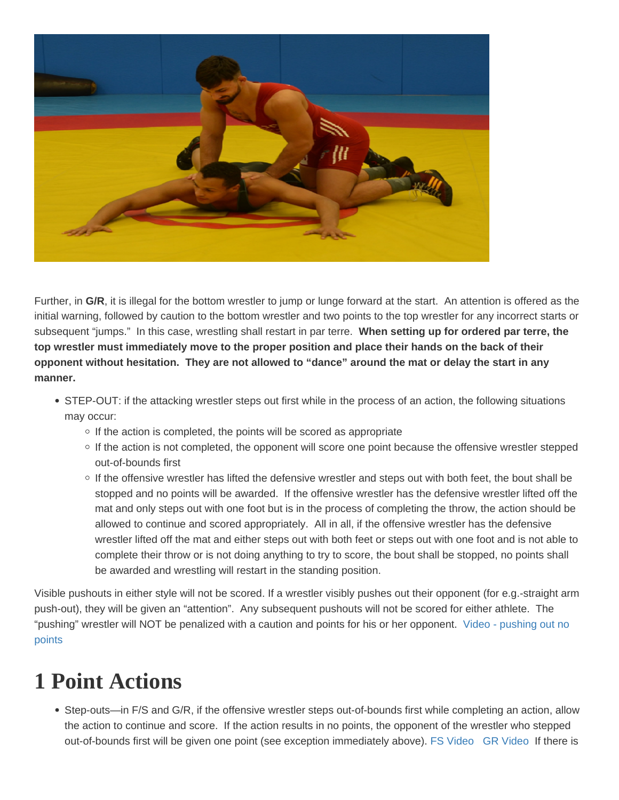<span id="page-13-0"></span>Further, in G/R, it is illegal for the bottom wrestler to jump or lunge forward at the start. An attention is offered as the initial warning, followed by caution to the bottom wrestler and two points to the top wrestler for any incorrect starts or subsequent "jumps." In this case, wrestling shall restart in par terre. When setting up for ordered par terre, the top wrestler must immediately move to the proper position and place their hands on the back of their opponent without hesitation. They are not allowed to "dance" around the mat or delay the start in any manner.

- STEP-OUT: if the attacking wrestler steps out first while in the process of an action, the following situations may occur:
	- $\circ$  If the action is completed, the points will be scored as appropriate
	- $\circ$  If the action is not completed, the opponent will score one point because the offensive wrestler stepped out-of-bounds first
	- o If the offensive wrestler has lifted the defensive wrestler and steps out with both feet, the bout shall be stopped and no points will be awarded. If the offensive wrestler has the defensive wrestler lifted off the mat and only steps out with one foot but is in the process of completing the throw, the action should be allowed to continue and scored appropriately. All in all, if the offensive wrestler has the defensive wrestler lifted off the mat and either steps out with both feet or steps out with one foot and is not able to complete their throw or is not doing anything to try to score, the bout shall be stopped, no points shall be awarded and wrestling will restart in the standing position.

Visible pushouts in either style will not be scored. If a wrestler visibly pushes out their opponent (for e.g.-straight arm push-out), they will be given an "attention". Any subsequent pushouts will not be scored for either athlete. The "pushing" wrestler will NOT be penalized with a caution and points for his or her opponent. [Video - pushing out no](https://drive.google.com/file/d/0BwikwLofPZTIazFSLWJjNWhaVUk/view?usp=sharing) points

## 1 Point Actions

• Step-outs—in F/S and G/R, if the offensive wrestler steps out-of-bounds first while completing an action, allow the action to continue and score. If the action results in no points, the opponent of the wrestler who stepped out-of-bounds first will be given one point (see exception immediately above). [FS Video](https://drive.google.com/file/d/0BwikwLofPZTIOTdIVTZlSm95QmM/view?usp=sharing) [GR Video](https://drive.google.com/file/d/0BwikwLofPZTINUxtcUJONkphcWc/view?usp=sharing) If there is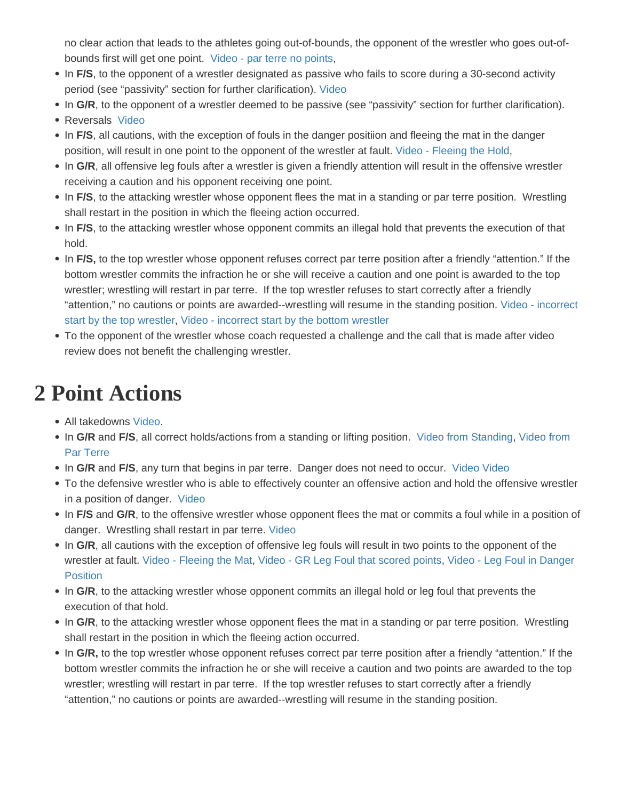<span id="page-14-0"></span>no clear action that leads to the athletes going out-of-bounds, the opponent of the wrestler who goes out-ofbounds first will get one point. [Video - par terre no points,](https://drive.google.com/file/d/0BwikwLofPZTIcDJ6a2RtVkZMUm8/view?usp=sharing)

- In F/S, to the opponent of a wrestler designated as passive who fails to score during a 30-second activity period (see "passivity" section for further clarification). [Video](https://drive.google.com/file/d/0BwikwLofPZTIZ0dPbTExWG90THM/view?usp=sharing)
- In G/R, to the opponent of a wrestler deemed to be passive (see "passivity" section for further clarification).
- Reversals [Video](https://drive.google.com/file/d/0BwikwLofPZTIdGdCTlozc2ZCRjA/view?usp=sharing)
- In F/S, all cautions, with the exception of fouls in the danger positiion and fleeing the mat in the danger position, will result in one point to the opponent of the wrestler at fault. [Video - Fleeing the Hold](https://drive.google.com/file/d/0BwikwLofPZTIN19DRjRma05IZVE/view?usp=sharing),
- In G/R, all offensive leg fouls after a wrestler is given a friendly attention will result in the offensive wrestler receiving a caution and his opponent receiving one point.
- In F/S, to the attacking wrestler whose opponent flees the mat in a standing or par terre position. Wrestling shall restart in the position in which the fleeing action occurred.
- In F/S, to the attacking wrestler whose opponent commits an illegal hold that prevents the execution of that hold.
- In F/S, to the top wrestler whose opponent refuses correct par terre position after a friendly "attention." If the bottom wrestler commits the infraction he or she will receive a caution and one point is awarded to the top wrestler; wrestling will restart in par terre. If the top wrestler refuses to start correctly after a friendly "attention," no cautions or points are awarded--wrestling will resume in the standing position. [Video - incorrect](https://drive.google.com/file/d/0BwikwLofPZTIWHJERHk2UFdJcUk/view?usp=sharing)  [start by the top wrestler](https://drive.google.com/file/d/0BwikwLofPZTIWHJERHk2UFdJcUk/view?usp=sharing), [Video - incorrect start by the bottom wrestler](https://drive.google.com/file/d/0BwikwLofPZTIT2VWMDZOTW5tMnM/view?usp=sharing)
- To the opponent of the wrestler whose coach requested a challenge and the call that is made after video review does not benefit the challenging wrestler.

# 2 Point Actions

- All takedowns [Video.](https://drive.google.com/file/d/0BwikwLofPZTIWi1qVzM3dU9nY0k/view?usp=sharing)
- In G/R and F/S, all correct holds/actions from a standing or lifting position. [Video from Standing,](https://drive.google.com/file/d/0BwikwLofPZTIYW52cjJkZC1HTzg/view?usp=sharing) Video from [Par Terre](https://drive.google.com/file/d/0BwikwLofPZTIYkUzdTRCbExqZ28/view?usp=sharing)
- In G/R and F/S, any turn that begins in par terre. Danger does not need to occur. [Video](https://drive.google.com/file/d/0BwikwLofPZTITVh2ZE1lSUd3a0k/view?usp=sharing) Video
- To the defensive wrestler who is able to effectively counter an offensive action and hold the offensive wrestler in a position of danger. [Video](https://drive.google.com/file/d/0BwikwLofPZTIWDhEYjZFaGN3NEk/view?usp=sharing)
- In F/S and G/R, to the offensive wrestler whose opponent flees the mat or commits a foul while in a position of danger. Wrestling shall restart in par terre. [Video](https://drive.google.com/file/d/0BwikwLofPZTIaFFQX0xBZDRYazg/view?usp=sharing)
- In G/R, all cautions with the exception of offensive leg fouls will result in two points to the opponent of the wrestler at fault. [Video - Fleeing the Mat,](https://drive.google.com/file/d/0BwikwLofPZTIbmxPVV9xV2xBSlU/view?usp=sharing) [Video - GR Leg Foul that scored points,](https://drive.google.com/file/d/0BwikwLofPZTIVXlyYllUc1ZORms/view?usp=sharing) [Video - Leg Foul in Danger](https://drive.google.com/file/d/0BwikwLofPZTIRTNuQnlOUGdueTA/view?usp=sharing)  **[Position](https://drive.google.com/file/d/0BwikwLofPZTIRTNuQnlOUGdueTA/view?usp=sharing)**
- In G/R, to the attacking wrestler whose opponent commits an illegal hold or leg foul that prevents the execution of that hold.
- In G/R, to the attacking wrestler whose opponent flees the mat in a standing or par terre position. Wrestling shall restart in the position in which the fleeing action occurred.
- In G/R, to the top wrestler whose opponent refuses correct par terre position after a friendly "attention." If the bottom wrestler commits the infraction he or she will receive a caution and two points are awarded to the top wrestler; wrestling will restart in par terre. If the top wrestler refuses to start correctly after a friendly "attention," no cautions or points are awarded--wrestling will resume in the standing position.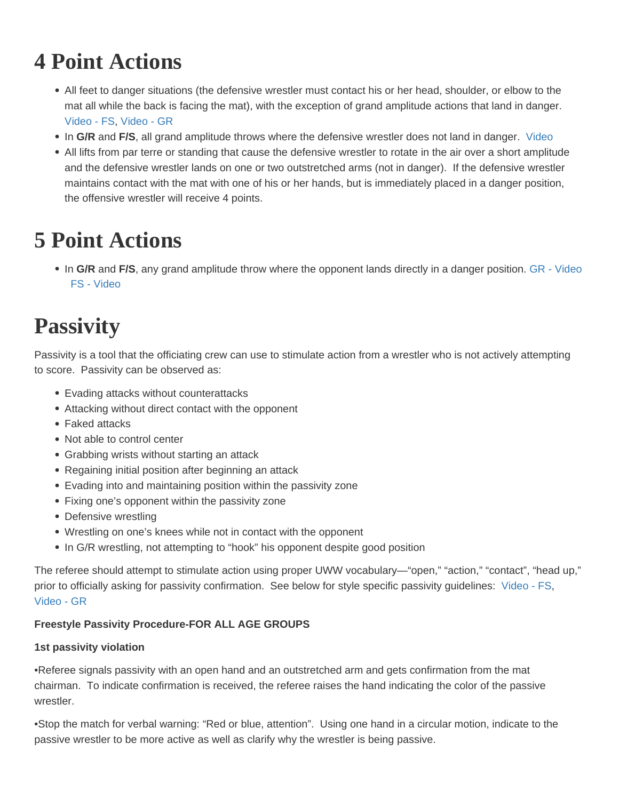# <span id="page-15-0"></span>4 Point Actions

- All feet to danger situations (the defensive wrestler must contact his or her head, shoulder, or elbow to the mat all while the back is facing the mat), with the exception of grand amplitude actions that land in danger. Video - FS, [Video - GR](https://drive.google.com/file/d/0BwikwLofPZTIallSNHR6QkxXTWc/view?usp=sharing)
- In G/R and F/S, all grand amplitude throws where the defensive wrestler does not land in danger. [Video](https://drive.google.com/file/d/0BwikwLofPZTIaFFUeWhZYlpQdU0/view?usp=sharing)
- All lifts from par terre or standing that cause the defensive wrestler to rotate in the air over a short amplitude and the defensive wrestler lands on one or two outstretched arms (not in danger). If the defensive wrestler maintains contact with the mat with one of his or her hands, but is immediately placed in a danger position, the offensive wrestler will receive 4 points.

# 5 Point Actions

• In G/R and F/S, any grand amplitude throw where the opponent lands directly in a danger position. [GR - Video](https://drive.google.com/file/d/0BwikwLofPZTIMGlzQkQyZzdlaGs/view?usp=sharing) [FS - Video](https://drive.google.com/file/d/0BwikwLofPZTIVENqM0xXMVNhbzA/view?usp=sharing)

# **Passivity**

Passivity is a tool that the officiating crew can use to stimulate action from a wrestler who is not actively attempting to score. Passivity can be observed as:

- Evading attacks without counterattacks
- Attacking without direct contact with the opponent
- Faked attacks
- Not able to control center
- Grabbing wrists without starting an attack
- Regaining initial position after beginning an attack
- Evading into and maintaining position within the passivity zone
- Fixing one's opponent within the passivity zone
- Defensive wrestling
- Wrestling on one's knees while not in contact with the opponent
- In G/R wrestling, not attempting to "hook" his opponent despite good position

The referee should attempt to stimulate action using proper UWW vocabulary—"open," "action," "contact", "head up," prior to officially asking for passivity confirmation. See below for style specific passivity guidelines: [Video - FS,](https://drive.google.com/file/d/0BwikwLofPZTIZTFVa1JpelVTclk/view?usp=sharing) Video - GR

Freestyle Passivity Procedure-FOR ALL AGE GROUPS

1st passivity violation

•Referee signals passivity with an open hand and an outstretched arm and gets confirmation from the mat chairman. To indicate confirmation is received, the referee raises the hand indicating the color of the passive wrestler.

•Stop the match for verbal warning: "Red or blue, attention". Using one hand in a circular motion, indicate to the passive wrestler to be more active as well as clarify why the wrestler is being passive.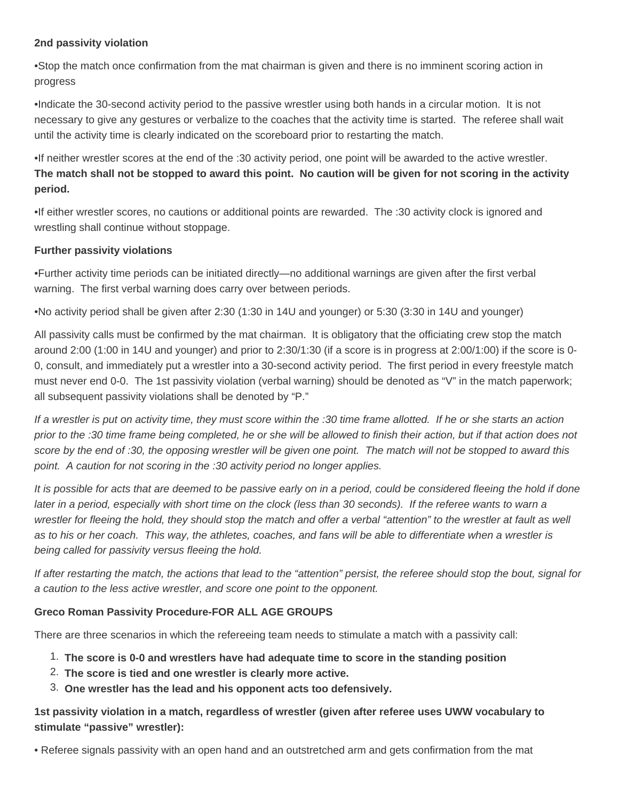#### **2nd passivity violation**

•Stop the match once confirmation from the mat chairman is given and there is no imminent scoring action in progress

•Indicate the 30-second activity period to the passive wrestler using both hands in a circular motion. It is not necessary to give any gestures or verbalize to the coaches that the activity time is started. The referee shall wait until the activity time is clearly indicated on the scoreboard prior to restarting the match.

•If neither wrestler scores at the end of the :30 activity period, one point will be awarded to the active wrestler. **The match shall not be stopped to award this point. No caution will be given for not scoring in the activity period.**

•If either wrestler scores, no cautions or additional points are rewarded. The :30 activity clock is ignored and wrestling shall continue without stoppage.

#### **Further passivity violations**

•Further activity time periods can be initiated directly—no additional warnings are given after the first verbal warning. The first verbal warning does carry over between periods.

•No activity period shall be given after 2:30 (1:30 in 14U and younger) or 5:30 (3:30 in 14U and younger)

All passivity calls must be confirmed by the mat chairman. It is obligatory that the officiating crew stop the match around 2:00 (1:00 in 14U and younger) and prior to 2:30/1:30 (if a score is in progress at 2:00/1:00) if the score is 0- 0, consult, and immediately put a wrestler into a 30-second activity period. The first period in every freestyle match must never end 0-0. The 1st passivity violation (verbal warning) should be denoted as "V" in the match paperwork; all subsequent passivity violations shall be denoted by "P."

If a wrestler is put on activity time, they must score within the :30 time frame allotted. If he or she starts an action prior to the :30 time frame being completed, he or she will be allowed to finish their action, but if that action does not score by the end of :30, the opposing wrestler will be given one point. The match will not be stopped to award this point. A caution for not scoring in the :30 activity period no longer applies.

It is possible for acts that are deemed to be passive early on in a period, could be considered fleeing the hold if done later in a period, especially with short time on the clock (less than 30 seconds). If the referee wants to warn a wrestler for fleeing the hold, they should stop the match and offer a verbal "attention" to the wrestler at fault as well as to his or her coach. This way, the athletes, coaches, and fans will be able to differentiate when a wrestler is being called for passivity versus fleeing the hold.

If after restarting the match, the actions that lead to the "attention" persist, the referee should stop the bout, signal for a caution to the less active wrestler, and score one point to the opponent.

#### **Greco Roman Passivity Procedure-FOR ALL AGE GROUPS**

There are three scenarios in which the refereeing team needs to stimulate a match with a passivity call:

- 1. **The score is 0-0 and wrestlers have had adequate time to score in the standing position**
- 2. **The score is tied and one wrestler is clearly more active.**
- 3. **One wrestler has the lead and his opponent acts too defensively.**

**1st passivity violation in a match, regardless of wrestler (given after referee uses UWW vocabulary to stimulate "passive" wrestler):**

• Referee signals passivity with an open hand and an outstretched arm and gets confirmation from the mat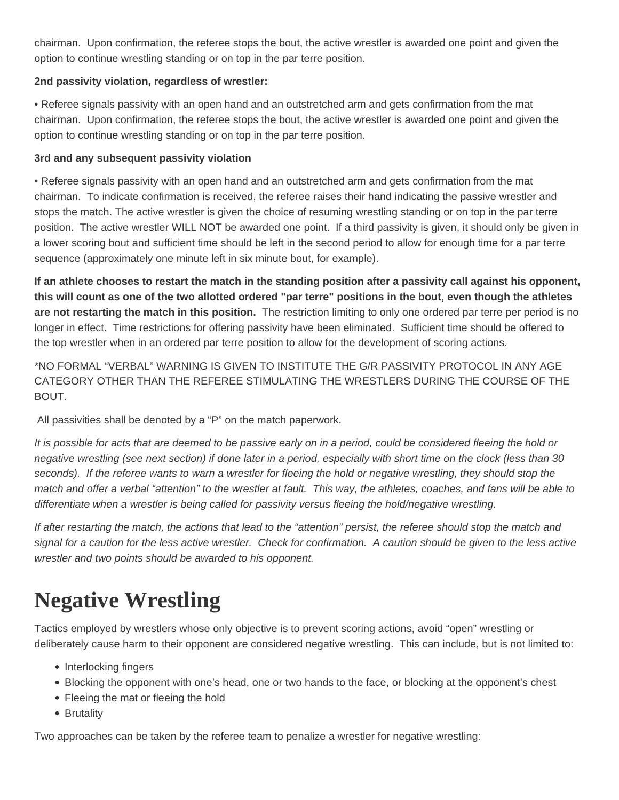<span id="page-17-0"></span>chairman. Upon confirmation, the referee stops the bout, the active wrestler is awarded one point and given the option to continue wrestling standing or on top in the par terre position.

#### **2nd passivity violation, regardless of wrestler:**

• Referee signals passivity with an open hand and an outstretched arm and gets confirmation from the mat chairman. Upon confirmation, the referee stops the bout, the active wrestler is awarded one point and given the option to continue wrestling standing or on top in the par terre position.

#### **3rd and any subsequent passivity violation**

• Referee signals passivity with an open hand and an outstretched arm and gets confirmation from the mat chairman. To indicate confirmation is received, the referee raises their hand indicating the passive wrestler and stops the match. The active wrestler is given the choice of resuming wrestling standing or on top in the par terre position. The active wrestler WILL NOT be awarded one point. If a third passivity is given, it should only be given in a lower scoring bout and sufficient time should be left in the second period to allow for enough time for a par terre sequence (approximately one minute left in six minute bout, for example).

**If an athlete chooses to restart the match in the standing position after a passivity call against his opponent, this will count as one of the two allotted ordered "par terre" positions in the bout, even though the athletes are not restarting the match in this position.** The restriction limiting to only one ordered par terre per period is no longer in effect. Time restrictions for offering passivity have been eliminated. Sufficient time should be offered to the top wrestler when in an ordered par terre position to allow for the development of scoring actions.

\*NO FORMAL "VERBAL" WARNING IS GIVEN TO INSTITUTE THE G/R PASSIVITY PROTOCOL IN ANY AGE CATEGORY OTHER THAN THE REFEREE STIMULATING THE WRESTLERS DURING THE COURSE OF THE BOUT.

All passivities shall be denoted by a "P" on the match paperwork.

It is possible for acts that are deemed to be passive early on in a period, could be considered fleeing the hold or negative wrestling (see next section) if done later in a period, especially with short time on the clock (less than 30 seconds). If the referee wants to warn a wrestler for fleeing the hold or negative wrestling, they should stop the match and offer a verbal "attention" to the wrestler at fault. This way, the athletes, coaches, and fans will be able to differentiate when a wrestler is being called for passivity versus fleeing the hold/negative wrestling.

If after restarting the match, the actions that lead to the "attention" persist, the referee should stop the match and signal for a caution for the less active wrestler. Check for confirmation. A caution should be given to the less active wrestler and two points should be awarded to his opponent.

### **Negative Wrestling**

Tactics employed by wrestlers whose only objective is to prevent scoring actions, avoid "open" wrestling or deliberately cause harm to their opponent are considered negative wrestling. This can include, but is not limited to:

- Interlocking fingers
- Blocking the opponent with one's head, one or two hands to the face, or blocking at the opponent's chest
- Fleeing the mat or fleeing the hold
- Brutality

Two approaches can be taken by the referee team to penalize a wrestler for negative wrestling: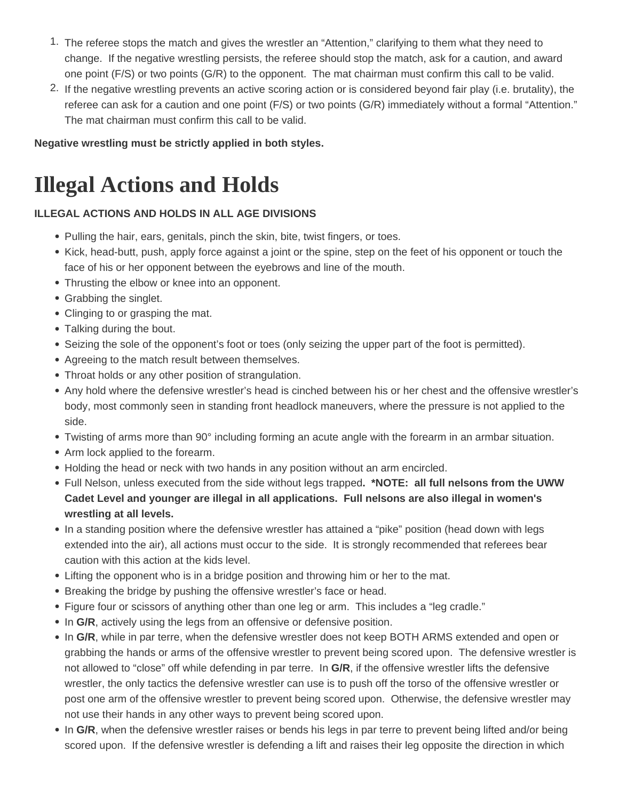- <span id="page-18-0"></span>1. The referee stops the match and gives the wrestler an "Attention," clarifying to them what they need to change. If the negative wrestling persists, the referee should stop the match, ask for a caution, and award one point (F/S) or two points (G/R) to the opponent. The mat chairman must confirm this call to be valid.
- 2. If the negative wrestling prevents an active scoring action or is considered beyond fair play (i.e. brutality), the referee can ask for a caution and one point (F/S) or two points (G/R) immediately without a formal "Attention." The mat chairman must confirm this call to be valid.

**Negative wrestling must be strictly applied in both styles.**

### **Illegal Actions and Holds**

#### **ILLEGAL ACTIONS AND HOLDS IN ALL AGE DIVISIONS**

- Pulling the hair, ears, genitals, pinch the skin, bite, twist fingers, or toes.
- Kick, head-butt, push, apply force against a joint or the spine, step on the feet of his opponent or touch the face of his or her opponent between the eyebrows and line of the mouth.
- Thrusting the elbow or knee into an opponent.
- Grabbing the singlet.
- Clinging to or grasping the mat.
- Talking during the bout.
- Seizing the sole of the opponent's foot or toes (only seizing the upper part of the foot is permitted).
- Agreeing to the match result between themselves.
- Throat holds or any other position of strangulation.
- Any hold where the defensive wrestler's head is cinched between his or her chest and the offensive wrestler's body, most commonly seen in standing front headlock maneuvers, where the pressure is not applied to the side.
- Twisting of arms more than 90° including forming an acute angle with the forearm in an armbar situation.
- Arm lock applied to the forearm.
- Holding the head or neck with two hands in any position without an arm encircled.
- Full Nelson, unless executed from the side without legs trapped**. \*NOTE: all full nelsons from the UWW Cadet Level and younger are illegal in all applications. Full nelsons are also illegal in women's wrestling at all levels.**
- In a standing position where the defensive wrestler has attained a "pike" position (head down with legs extended into the air), all actions must occur to the side. It is strongly recommended that referees bear caution with this action at the kids level.
- Lifting the opponent who is in a bridge position and throwing him or her to the mat.
- Breaking the bridge by pushing the offensive wrestler's face or head.
- Figure four or scissors of anything other than one leg or arm. This includes a "leg cradle."
- In G/R, actively using the legs from an offensive or defensive position.
- . In G/R, while in par terre, when the defensive wrestler does not keep BOTH ARMS extended and open or grabbing the hands or arms of the offensive wrestler to prevent being scored upon. The defensive wrestler is not allowed to "close" off while defending in par terre. In **G/R**, if the offensive wrestler lifts the defensive wrestler, the only tactics the defensive wrestler can use is to push off the torso of the offensive wrestler or post one arm of the offensive wrestler to prevent being scored upon. Otherwise, the defensive wrestler may not use their hands in any other ways to prevent being scored upon.
- In G/R, when the defensive wrestler raises or bends his legs in par terre to prevent being lifted and/or being scored upon. If the defensive wrestler is defending a lift and raises their leg opposite the direction in which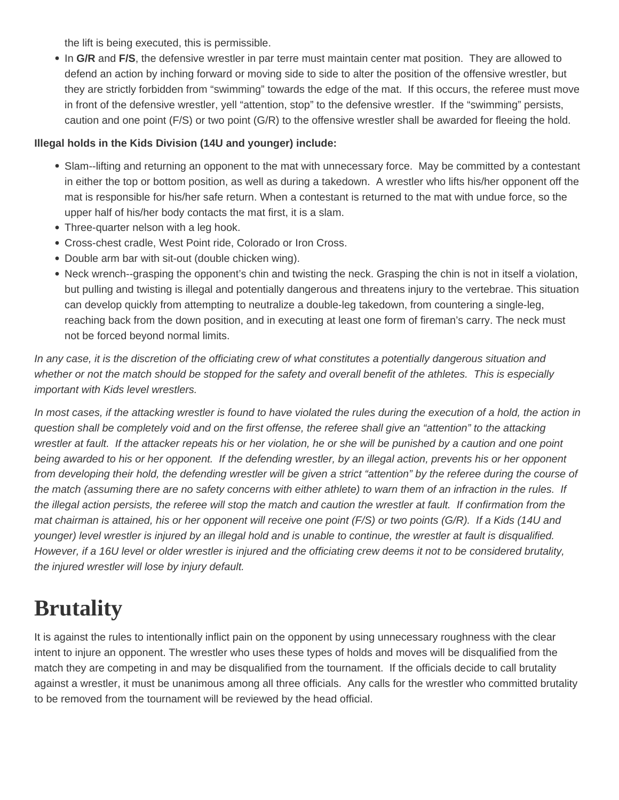<span id="page-19-0"></span>the lift is being executed, this is permissible.

• In G/R and F/S, the defensive wrestler in par terre must maintain center mat position. They are allowed to defend an action by inching forward or moving side to side to alter the position of the offensive wrestler, but they are strictly forbidden from "swimming" towards the edge of the mat. If this occurs, the referee must move in front of the defensive wrestler, yell "attention, stop" to the defensive wrestler. If the "swimming" persists, caution and one point (F/S) or two point (G/R) to the offensive wrestler shall be awarded for fleeing the hold.

#### **Illegal holds in the Kids Division (14U and younger) include:**

- Slam--lifting and returning an opponent to the mat with unnecessary force. May be committed by a contestant in either the top or bottom position, as well as during a takedown. A wrestler who lifts his/her opponent off the mat is responsible for his/her safe return. When a contestant is returned to the mat with undue force, so the upper half of his/her body contacts the mat first, it is a slam.
- Three-quarter nelson with a leg hook.
- Cross-chest cradle, West Point ride, Colorado or Iron Cross.
- Double arm bar with sit-out (double chicken wing).
- Neck wrench--grasping the opponent's chin and twisting the neck. Grasping the chin is not in itself a violation, but pulling and twisting is illegal and potentially dangerous and threatens injury to the vertebrae. This situation can develop quickly from attempting to neutralize a double-leg takedown, from countering a single-leg, reaching back from the down position, and in executing at least one form of fireman's carry. The neck must not be forced beyond normal limits.

In any case, it is the discretion of the officiating crew of what constitutes a potentially dangerous situation and whether or not the match should be stopped for the safety and overall benefit of the athletes. This is especially important with Kids level wrestlers.

In most cases, if the attacking wrestler is found to have violated the rules during the execution of a hold, the action in question shall be completely void and on the first offense, the referee shall give an "attention" to the attacking wrestler at fault. If the attacker repeats his or her violation, he or she will be punished by a caution and one point being awarded to his or her opponent. If the defending wrestler, by an illegal action, prevents his or her opponent from developing their hold, the defending wrestler will be given a strict "attention" by the referee during the course of the match (assuming there are no safety concerns with either athlete) to warn them of an infraction in the rules. If the illegal action persists, the referee will stop the match and caution the wrestler at fault. If confirmation from the mat chairman is attained, his or her opponent will receive one point (F/S) or two points (G/R). If a Kids (14U and younger) level wrestler is injured by an illegal hold and is unable to continue, the wrestler at fault is disqualified. However, if a 16U level or older wrestler is injured and the officiating crew deems it not to be considered brutality, the injured wrestler will lose by injury default.

### **Brutality**

It is against the rules to intentionally inflict pain on the opponent by using unnecessary roughness with the clear intent to injure an opponent. The wrestler who uses these types of holds and moves will be disqualified from the match they are competing in and may be disqualified from the tournament. If the officials decide to call brutality against a wrestler, it must be unanimous among all three officials. Any calls for the wrestler who committed brutality to be removed from the tournament will be reviewed by the head official.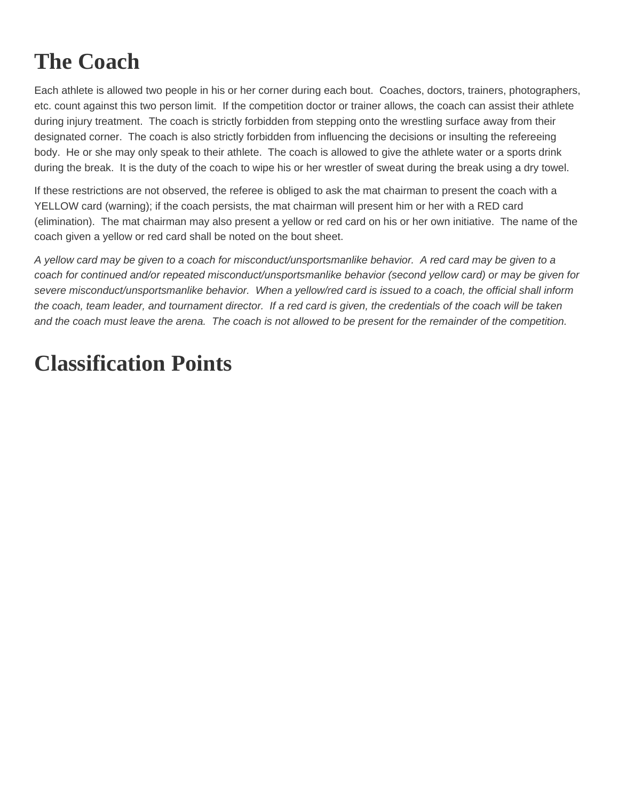# <span id="page-20-0"></span>**The Coach**

Each athlete is allowed two people in his or her corner during each bout. Coaches, doctors, trainers, photographers, etc. count against this two person limit. If the competition doctor or trainer allows, the coach can assist their athlete during injury treatment. The coach is strictly forbidden from stepping onto the wrestling surface away from their designated corner. The coach is also strictly forbidden from influencing the decisions or insulting the refereeing body. He or she may only speak to their athlete. The coach is allowed to give the athlete water or a sports drink during the break. It is the duty of the coach to wipe his or her wrestler of sweat during the break using a dry towel.

If these restrictions are not observed, the referee is obliged to ask the mat chairman to present the coach with a YELLOW card (warning); if the coach persists, the mat chairman will present him or her with a RED card (elimination). The mat chairman may also present a yellow or red card on his or her own initiative. The name of the coach given a yellow or red card shall be noted on the bout sheet.

A yellow card may be given to a coach for misconduct/unsportsmanlike behavior. A red card may be given to a coach for continued and/or repeated misconduct/unsportsmanlike behavior (second yellow card) or may be given for severe misconduct/unsportsmanlike behavior. When a yellow/red card is issued to a coach, the official shall inform the coach, team leader, and tournament director. If a red card is given, the credentials of the coach will be taken and the coach must leave the arena. The coach is not allowed to be present for the remainder of the competition.

# **Classification Points**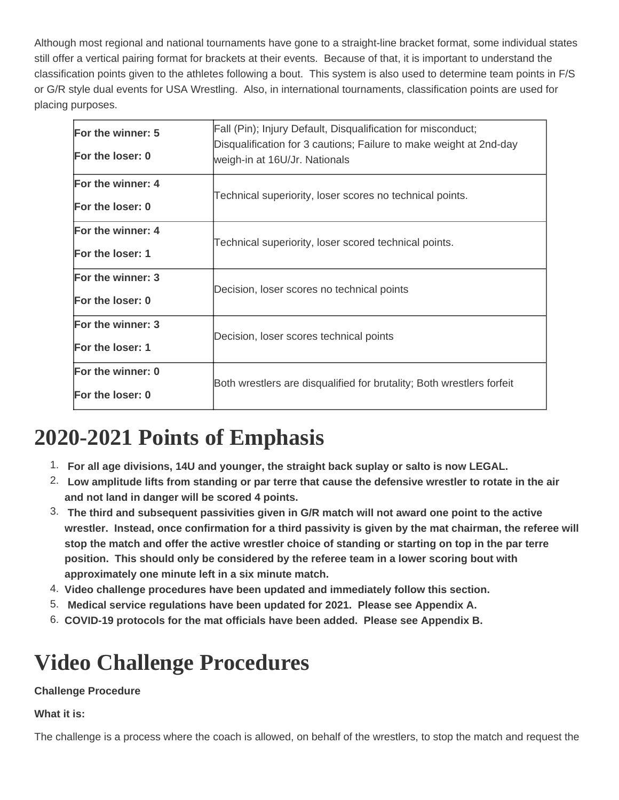<span id="page-21-0"></span>Although most regional and national tournaments have gone to a straight-line bracket format, some individual states still offer a vertical pairing format for brackets at their events. Because of that, it is important to understand the classification points given to the athletes following a bout. This system is also used to determine team points in F/S or G/R style dual events for USA Wrestling. Also, in international tournaments, classification points are used for placing purposes.

| For the winner: 5 | Fall (Pin); Injury Default, Disqualification for misconduct;          |  |  |  |
|-------------------|-----------------------------------------------------------------------|--|--|--|
|                   | Disqualification for 3 cautions; Failure to make weight at 2nd-day    |  |  |  |
| For the loser: 0  | weigh-in at 16U/Jr. Nationals                                         |  |  |  |
| For the winner: 4 | Technical superiority, loser scores no technical points.              |  |  |  |
| For the loser: 0  |                                                                       |  |  |  |
| For the winner: 4 | Technical superiority, loser scored technical points.                 |  |  |  |
| For the loser: 1  |                                                                       |  |  |  |
| For the winner: 3 | Decision, loser scores no technical points                            |  |  |  |
| For the loser: 0  |                                                                       |  |  |  |
| For the winner: 3 | Decision, loser scores technical points                               |  |  |  |
| For the loser: 1  |                                                                       |  |  |  |
| For the winner: 0 | Both wrestlers are disqualified for brutality; Both wrestlers forfeit |  |  |  |
| For the loser: 0  |                                                                       |  |  |  |
|                   |                                                                       |  |  |  |

### **2020-2021 Points of Emphasis**

- 1. **For all age divisions, 14U and younger, the straight back suplay or salto is now LEGAL.**
- 2. **Low amplitude lifts from standing or par terre that cause the defensive wrestler to rotate in the air and not land in danger will be scored 4 points.**
- 3. **The third and subsequent passivities given in G/R match will not award one point to the active wrestler. Instead, once confirmation for a third passivity is given by the mat chairman, the referee will stop the match and offer the active wrestler choice of standing or starting on top in the par terre position. This should only be considered by the referee team in a lower scoring bout with approximately one minute left in a six minute match.**
- 4. **Video challenge procedures have been updated and immediately follow this section.**
- 5. **Medical service regulations have been updated for 2021. Please see Appendix A.**
- 6. **COVID-19 protocols for the mat officials have been added. Please see Appendix B.**

## **Video Challenge Procedures**

#### **Challenge Procedure**

#### **What it is:**

The challenge is a process where the coach is allowed, on behalf of the wrestlers, to stop the match and request the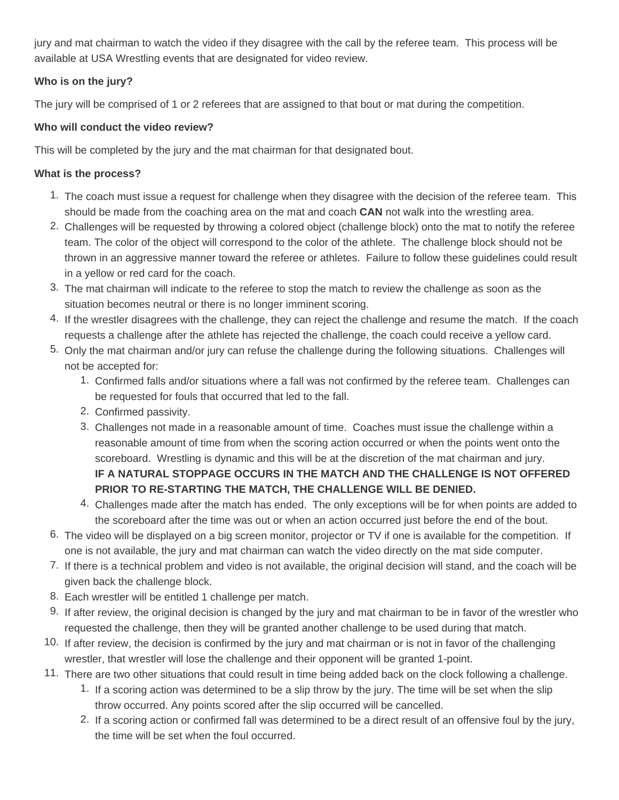jury and mat chairman to watch the video if they disagree with the call by the referee team. This process will be available at USA Wrestling events that are designated for video review.

#### **Who is on the jury?**

The jury will be comprised of 1 or 2 referees that are assigned to that bout or mat during the competition.

#### **Who will conduct the video review?**

This will be completed by the jury and the mat chairman for that designated bout.

#### **What is the process?**

- 1. The coach must issue a request for challenge when they disagree with the decision of the referee team. This should be made from the coaching area on the mat and coach **CAN** not walk into the wrestling area.
- 2. Challenges will be requested by throwing a colored object (challenge block) onto the mat to notify the referee team. The color of the object will correspond to the color of the athlete. The challenge block should not be thrown in an aggressive manner toward the referee or athletes. Failure to follow these guidelines could result in a yellow or red card for the coach.
- 3. The mat chairman will indicate to the referee to stop the match to review the challenge as soon as the situation becomes neutral or there is no longer imminent scoring.
- 4. If the wrestler disagrees with the challenge, they can reject the challenge and resume the match. If the coach requests a challenge after the athlete has rejected the challenge, the coach could receive a yellow card.
- 5. Only the mat chairman and/or jury can refuse the challenge during the following situations. Challenges will not be accepted for:
	- 1. Confirmed falls and/or situations where a fall was not confirmed by the referee team. Challenges can be requested for fouls that occurred that led to the fall.
	- 2. Confirmed passivity.
	- 3. Challenges not made in a reasonable amount of time. Coaches must issue the challenge within a reasonable amount of time from when the scoring action occurred or when the points went onto the scoreboard. Wrestling is dynamic and this will be at the discretion of the mat chairman and jury. **IF A NATURAL STOPPAGE OCCURS IN THE MATCH AND THE CHALLENGE IS NOT OFFERED PRIOR TO RE-STARTING THE MATCH, THE CHALLENGE WILL BE DENIED.**
	- 4. Challenges made after the match has ended. The only exceptions will be for when points are added to the scoreboard after the time was out or when an action occurred just before the end of the bout.
- 6. The video will be displayed on a big screen monitor, projector or TV if one is available for the competition. If one is not available, the jury and mat chairman can watch the video directly on the mat side computer.
- 7. If there is a technical problem and video is not available, the original decision will stand, and the coach will be given back the challenge block.
- 8. Each wrestler will be entitled 1 challenge per match.
- 9. If after review, the original decision is changed by the jury and mat chairman to be in favor of the wrestler who requested the challenge, then they will be granted another challenge to be used during that match.
- 10. If after review, the decision is confirmed by the jury and mat chairman or is not in favor of the challenging wrestler, that wrestler will lose the challenge and their opponent will be granted 1-point.
- 11. There are two other situations that could result in time being added back on the clock following a challenge.
	- 1. If a scoring action was determined to be a slip throw by the jury. The time will be set when the slip throw occurred. Any points scored after the slip occurred will be cancelled.
	- 2. If a scoring action or confirmed fall was determined to be a direct result of an offensive foul by the jury, the time will be set when the foul occurred.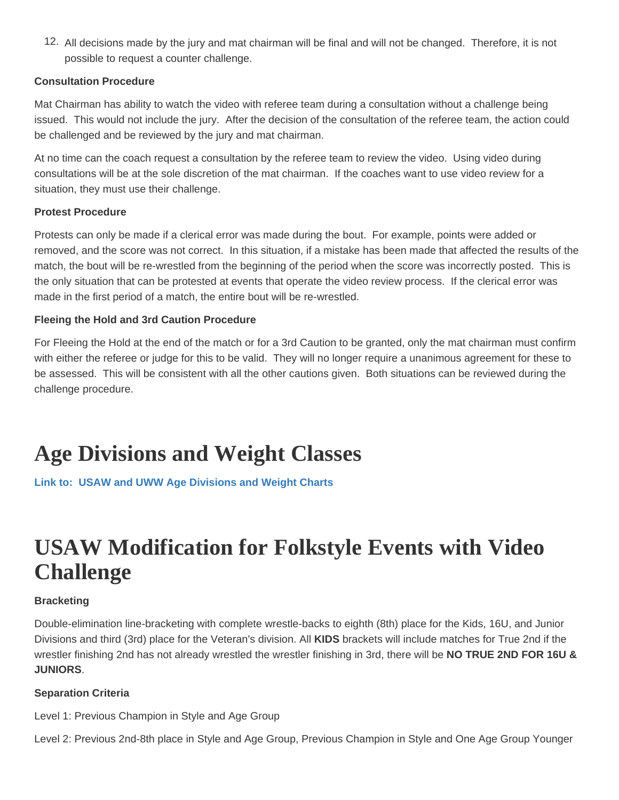<span id="page-23-0"></span>12. All decisions made by the jury and mat chairman will be final and will not be changed. Therefore, it is not possible to request a counter challenge.

#### Consultation Procedure

Mat Chairman has ability to watch the video with referee team during a consultation without a challenge being issued. This would not include the jury. After the decision of the consultation of the referee team, the action could be challenged and be reviewed by the jury and mat chairman.

At no time can the coach request a consultation by the referee team to review the video. Using video during consultations will be at the sole discretion of the mat chairman. If the coaches want to use video review for a situation, they must use their challenge.

#### Protest Procedure

Protests can only be made if a clerical error was made during the bout. For example, points were added or removed, and the score was not correct. In this situation, if a mistake has been made that affected the results of the match, the bout will be re-wrestled from the beginning of the period when the score was incorrectly posted. This is the only situation that can be protested at events that operate the video review process. If the clerical error was made in the first period of a match, the entire bout will be re-wrestled.

#### Fleeing the Hold and 3rd Caution Procedure

For Fleeing the Hold at the end of the match or for a 3rd Caution to be granted, only the mat chairman must confirm with either the referee or judge for this to be valid. They will no longer require a unanimous agreement for these to be assessed. This will be consistent with all the other cautions given. Both situations can be reviewed during the challenge procedure.

## Age Divisions and Weight Classes

[Link to: USAW and UWW Age Divisions and Weight Charts](http://content.themat.com/forms/Weights.pdf)

### USAW Modification for Folkstyle Events with Video **Challenge**

#### **Bracketing**

Double-elimination line-bracketing with complete wrestle-backs to eighth (8th) place for the Kids, 16U, and Junior Divisions and third (3rd) place for the Veteran's division. All KIDS brackets will include matches for True 2nd if the wrestler finishing 2nd has not already wrestled the wrestler finishing in 3rd, there will be NO TRUE 2ND FOR 16U & JUNIORS.

#### Separation Criteria

Level 1: Previous Champion in Style and Age Group

Level 2: Previous 2nd-8th place in Style and Age Group, Previous Champion in Style and One Age Group Younger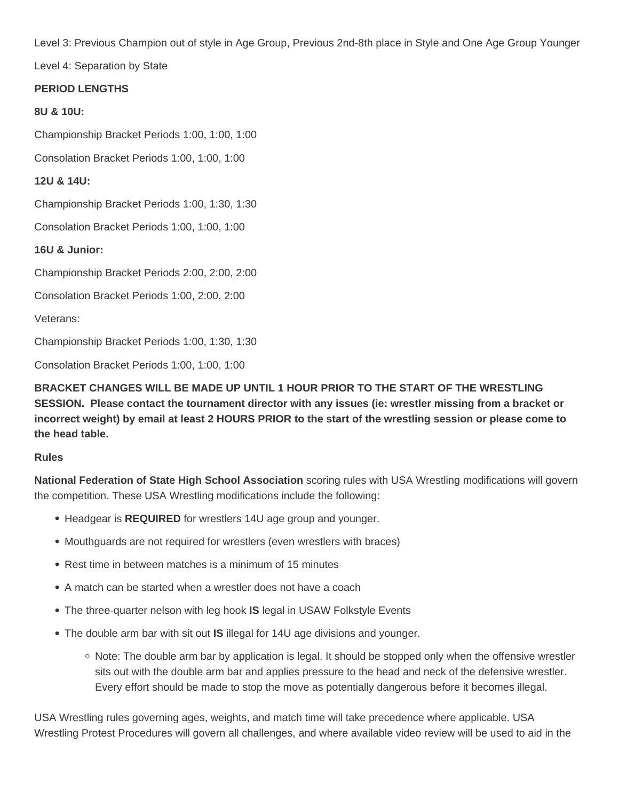Level 3: Previous Champion out of style in Age Group, Previous 2nd-8th place in Style and One Age Group Younger

Level 4: Separation by State

#### **PERIOD LENGTHS**

#### **8U & 10U:**

Championship Bracket Periods 1:00, 1:00, 1:00

Consolation Bracket Periods 1:00, 1:00, 1:00

**12U & 14U:**

Championship Bracket Periods 1:00, 1:30, 1:30

Consolation Bracket Periods 1:00, 1:00, 1:00

**16U & Junior:**

Championship Bracket Periods 2:00, 2:00, 2:00

Consolation Bracket Periods 1:00, 2:00, 2:00

Veterans:

Championship Bracket Periods 1:00, 1:30, 1:30

Consolation Bracket Periods 1:00, 1:00, 1:00

**BRACKET CHANGES WILL BE MADE UP UNTIL 1 HOUR PRIOR TO THE START OF THE WRESTLING SESSION. Please contact the tournament director with any issues (ie: wrestler missing from a bracket or incorrect weight) by email at least 2 HOURS PRIOR to the start of the wrestling session or please come to the head table.** 

#### **Rules**

**National Federation of State High School Association** scoring rules with USA Wrestling modifications will govern the competition. These USA Wrestling modifications include the following:

- Headgear is **REQUIRED** for wrestlers 14U age group and younger.
- Mouthguards are not required for wrestlers (even wrestlers with braces)
- Rest time in between matches is a minimum of 15 minutes
- A match can be started when a wrestler does not have a coach
- The three-quarter nelson with leg hook **IS** legal in USAW Folkstyle Events
- The double arm bar with sit out **IS** illegal for 14U age divisions and younger.
	- $\circ$  Note: The double arm bar by application is legal. It should be stopped only when the offensive wrestler sits out with the double arm bar and applies pressure to the head and neck of the defensive wrestler. Every effort should be made to stop the move as potentially dangerous before it becomes illegal.

USA Wrestling rules governing ages, weights, and match time will take precedence where applicable. USA Wrestling Protest Procedures will govern all challenges, and where available video review will be used to aid in the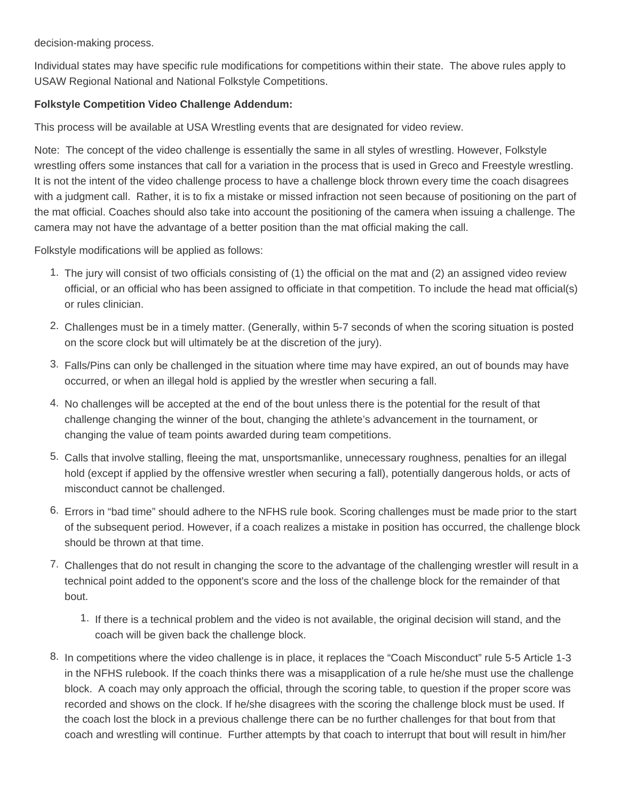decision-making process.

Individual states may have specific rule modifications for competitions within their state. The above rules apply to USAW Regional National and National Folkstyle Competitions.

#### **Folkstyle Competition Video Challenge Addendum:**

This process will be available at USA Wrestling events that are designated for video review.

Note: The concept of the video challenge is essentially the same in all styles of wrestling. However, Folkstyle wrestling offers some instances that call for a variation in the process that is used in Greco and Freestyle wrestling. It is not the intent of the video challenge process to have a challenge block thrown every time the coach disagrees with a judgment call. Rather, it is to fix a mistake or missed infraction not seen because of positioning on the part of the mat official. Coaches should also take into account the positioning of the camera when issuing a challenge. The camera may not have the advantage of a better position than the mat official making the call.

Folkstyle modifications will be applied as follows:

- 1. The jury will consist of two officials consisting of (1) the official on the mat and (2) an assigned video review official, or an official who has been assigned to officiate in that competition. To include the head mat official(s) or rules clinician.
- 2. Challenges must be in a timely matter. (Generally, within 5-7 seconds of when the scoring situation is posted on the score clock but will ultimately be at the discretion of the jury).
- 3. Falls/Pins can only be challenged in the situation where time may have expired, an out of bounds may have occurred, or when an illegal hold is applied by the wrestler when securing a fall.
- 4. No challenges will be accepted at the end of the bout unless there is the potential for the result of that challenge changing the winner of the bout, changing the athlete's advancement in the tournament, or changing the value of team points awarded during team competitions.
- 5. Calls that involve stalling, fleeing the mat, unsportsmanlike, unnecessary roughness, penalties for an illegal hold (except if applied by the offensive wrestler when securing a fall), potentially dangerous holds, or acts of misconduct cannot be challenged.
- 6. Errors in "bad time" should adhere to the NFHS rule book. Scoring challenges must be made prior to the start of the subsequent period. However, if a coach realizes a mistake in position has occurred, the challenge block should be thrown at that time.
- 7. Challenges that do not result in changing the score to the advantage of the challenging wrestler will result in a technical point added to the opponent's score and the loss of the challenge block for the remainder of that bout.
	- 1. If there is a technical problem and the video is not available, the original decision will stand, and the coach will be given back the challenge block.
- 8. In competitions where the video challenge is in place, it replaces the "Coach Misconduct" rule 5-5 Article 1-3 in the NFHS rulebook. If the coach thinks there was a misapplication of a rule he/she must use the challenge block. A coach may only approach the official, through the scoring table, to question if the proper score was recorded and shows on the clock. If he/she disagrees with the scoring the challenge block must be used. If the coach lost the block in a previous challenge there can be no further challenges for that bout from that coach and wrestling will continue. Further attempts by that coach to interrupt that bout will result in him/her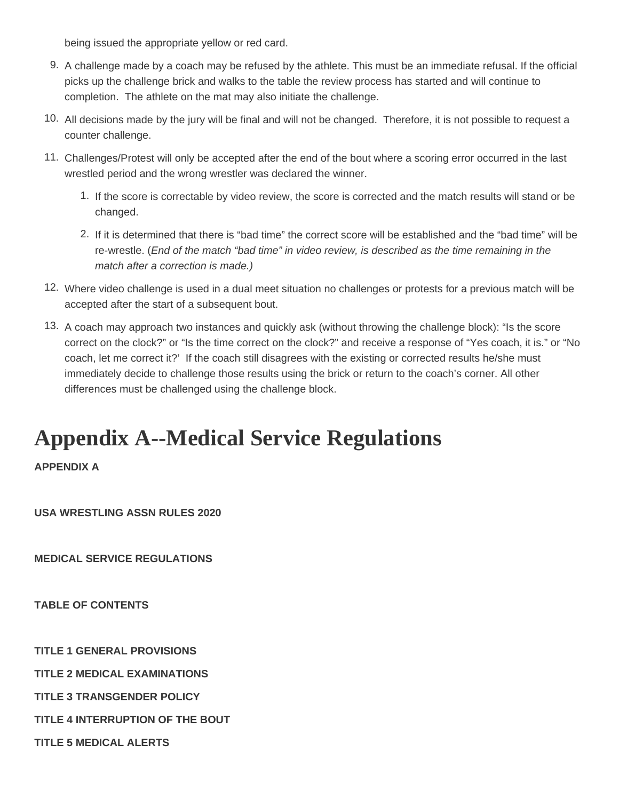<span id="page-26-0"></span>being issued the appropriate yellow or red card.

- 9. A challenge made by a coach may be refused by the athlete. This must be an immediate refusal. If the official picks up the challenge brick and walks to the table the review process has started and will continue to completion. The athlete on the mat may also initiate the challenge.
- 10. All decisions made by the jury will be final and will not be changed. Therefore, it is not possible to request a counter challenge.
- 11. Challenges/Protest will only be accepted after the end of the bout where a scoring error occurred in the last wrestled period and the wrong wrestler was declared the winner.
	- 1. If the score is correctable by video review, the score is corrected and the match results will stand or be changed.
	- 2. If it is determined that there is "bad time" the correct score will be established and the "bad time" will be re-wrestle. (End of the match "bad time" in video review, is described as the time remaining in the match after a correction is made.)
- 12. Where video challenge is used in a dual meet situation no challenges or protests for a previous match will be accepted after the start of a subsequent bout.
- 13. A coach may approach two instances and quickly ask (without throwing the challenge block): "Is the score correct on the clock?" or "Is the time correct on the clock?" and receive a response of "Yes coach, it is." or "No coach, let me correct it?' If the coach still disagrees with the existing or corrected results he/she must immediately decide to challenge those results using the brick or return to the coach's corner. All other differences must be challenged using the challenge block.

### **Appendix A--Medical Service Regulations**

**APPENDIX A**

**USA WRESTLING ASSN RULES 2020**

**MEDICAL SERVICE REGULATIONS** 

**TABLE OF CONTENTS**

**TITLE 1 GENERAL PROVISIONS**

**TITLE 2 MEDICAL EXAMINATIONS**

**TITLE 3 TRANSGENDER POLICY**

**TITLE 4 INTERRUPTION OF THE BOUT**

**TITLE 5 MEDICAL ALERTS**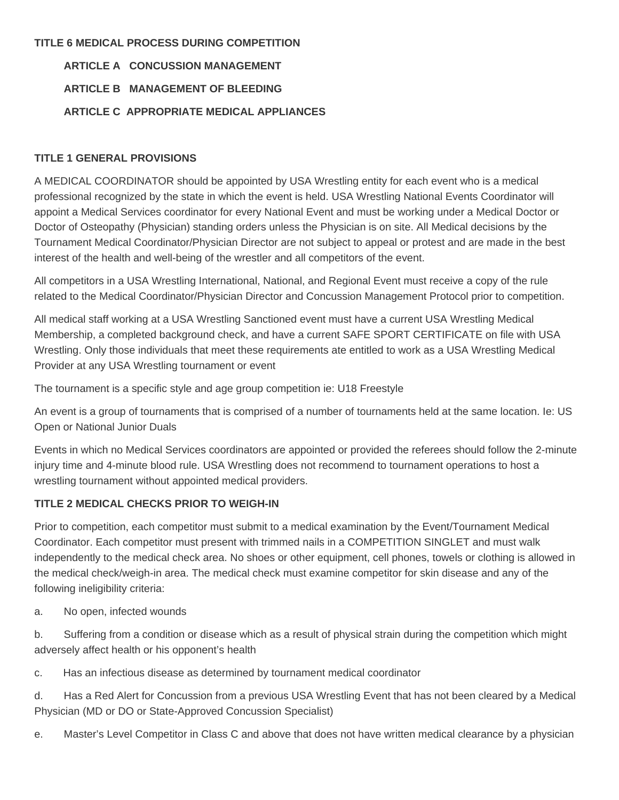#### **TITLE 6 MEDICAL PROCESS DURING COMPETITION**

### **ARTICLE A CONCUSSION MANAGEMENT ARTICLE B MANAGEMENT OF BLEEDING ARTICLE C APPROPRIATE MEDICAL APPLIANCES**

#### **TITLE 1 GENERAL PROVISIONS**

A MEDICAL COORDINATOR should be appointed by USA Wrestling entity for each event who is a medical professional recognized by the state in which the event is held. USA Wrestling National Events Coordinator will appoint a Medical Services coordinator for every National Event and must be working under a Medical Doctor or Doctor of Osteopathy (Physician) standing orders unless the Physician is on site. All Medical decisions by the Tournament Medical Coordinator/Physician Director are not subject to appeal or protest and are made in the best interest of the health and well-being of the wrestler and all competitors of the event.

All competitors in a USA Wrestling International, National, and Regional Event must receive a copy of the rule related to the Medical Coordinator/Physician Director and Concussion Management Protocol prior to competition.

All medical staff working at a USA Wrestling Sanctioned event must have a current USA Wrestling Medical Membership, a completed background check, and have a current SAFE SPORT CERTIFICATE on file with USA Wrestling. Only those individuals that meet these requirements ate entitled to work as a USA Wrestling Medical Provider at any USA Wrestling tournament or event

The tournament is a specific style and age group competition ie: U18 Freestyle

An event is a group of tournaments that is comprised of a number of tournaments held at the same location. Ie: US Open or National Junior Duals

Events in which no Medical Services coordinators are appointed or provided the referees should follow the 2-minute injury time and 4-minute blood rule. USA Wrestling does not recommend to tournament operations to host a wrestling tournament without appointed medical providers.

#### **TITLE 2 MEDICAL CHECKS PRIOR TO WEIGH-IN**

Prior to competition, each competitor must submit to a medical examination by the Event/Tournament Medical Coordinator. Each competitor must present with trimmed nails in a COMPETITION SINGLET and must walk independently to the medical check area. No shoes or other equipment, cell phones, towels or clothing is allowed in the medical check/weigh-in area. The medical check must examine competitor for skin disease and any of the following ineligibility criteria:

a. No open, infected wounds

b. Suffering from a condition or disease which as a result of physical strain during the competition which might adversely affect health or his opponent's health

c. Has an infectious disease as determined by tournament medical coordinator

d. Has a Red Alert for Concussion from a previous USA Wrestling Event that has not been cleared by a Medical Physician (MD or DO or State-Approved Concussion Specialist)

e. Master's Level Competitor in Class C and above that does not have written medical clearance by a physician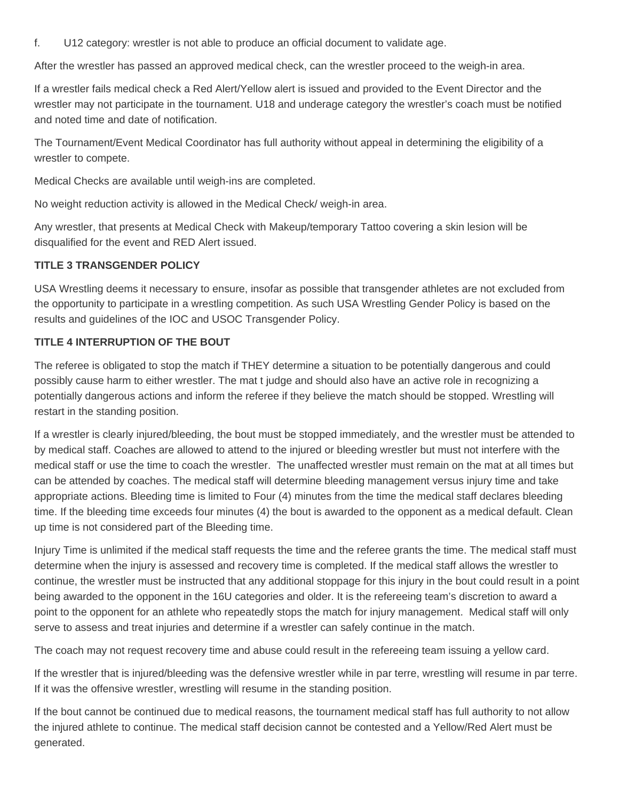f. U12 category: wrestler is not able to produce an official document to validate age.

After the wrestler has passed an approved medical check, can the wrestler proceed to the weigh-in area.

If a wrestler fails medical check a Red Alert/Yellow alert is issued and provided to the Event Director and the wrestler may not participate in the tournament. U18 and underage category the wrestler's coach must be notified and noted time and date of notification.

The Tournament/Event Medical Coordinator has full authority without appeal in determining the eligibility of a wrestler to compete.

Medical Checks are available until weigh-ins are completed.

No weight reduction activity is allowed in the Medical Check/ weigh-in area.

Any wrestler, that presents at Medical Check with Makeup/temporary Tattoo covering a skin lesion will be disqualified for the event and RED Alert issued.

#### **TITLE 3 TRANSGENDER POLICY**

USA Wrestling deems it necessary to ensure, insofar as possible that transgender athletes are not excluded from the opportunity to participate in a wrestling competition. As such USA Wrestling Gender Policy is based on the results and guidelines of the IOC and USOC Transgender Policy.

#### **TITLE 4 INTERRUPTION OF THE BOUT**

The referee is obligated to stop the match if THEY determine a situation to be potentially dangerous and could possibly cause harm to either wrestler. The mat t judge and should also have an active role in recognizing a potentially dangerous actions and inform the referee if they believe the match should be stopped. Wrestling will restart in the standing position.

If a wrestler is clearly injured/bleeding, the bout must be stopped immediately, and the wrestler must be attended to by medical staff. Coaches are allowed to attend to the injured or bleeding wrestler but must not interfere with the medical staff or use the time to coach the wrestler. The unaffected wrestler must remain on the mat at all times but can be attended by coaches. The medical staff will determine bleeding management versus injury time and take appropriate actions. Bleeding time is limited to Four (4) minutes from the time the medical staff declares bleeding time. If the bleeding time exceeds four minutes (4) the bout is awarded to the opponent as a medical default. Clean up time is not considered part of the Bleeding time.

Injury Time is unlimited if the medical staff requests the time and the referee grants the time. The medical staff must determine when the injury is assessed and recovery time is completed. If the medical staff allows the wrestler to continue, the wrestler must be instructed that any additional stoppage for this injury in the bout could result in a point being awarded to the opponent in the 16U categories and older. It is the refereeing team's discretion to award a point to the opponent for an athlete who repeatedly stops the match for injury management. Medical staff will only serve to assess and treat injuries and determine if a wrestler can safely continue in the match.

The coach may not request recovery time and abuse could result in the refereeing team issuing a yellow card.

If the wrestler that is injured/bleeding was the defensive wrestler while in par terre, wrestling will resume in par terre. If it was the offensive wrestler, wrestling will resume in the standing position.

If the bout cannot be continued due to medical reasons, the tournament medical staff has full authority to not allow the injured athlete to continue. The medical staff decision cannot be contested and a Yellow/Red Alert must be generated.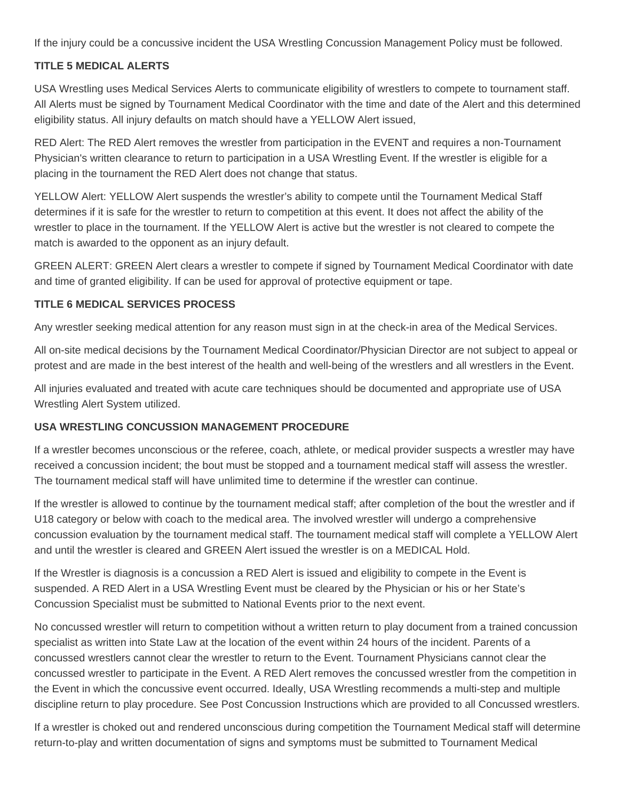If the injury could be a concussive incident the USA Wrestling Concussion Management Policy must be followed.

#### **TITLE 5 MEDICAL ALERTS**

USA Wrestling uses Medical Services Alerts to communicate eligibility of wrestlers to compete to tournament staff. All Alerts must be signed by Tournament Medical Coordinator with the time and date of the Alert and this determined eligibility status. All injury defaults on match should have a YELLOW Alert issued,

RED Alert: The RED Alert removes the wrestler from participation in the EVENT and requires a non-Tournament Physician's written clearance to return to participation in a USA Wrestling Event. If the wrestler is eligible for a placing in the tournament the RED Alert does not change that status.

YELLOW Alert: YELLOW Alert suspends the wrestler's ability to compete until the Tournament Medical Staff determines if it is safe for the wrestler to return to competition at this event. It does not affect the ability of the wrestler to place in the tournament. If the YELLOW Alert is active but the wrestler is not cleared to compete the match is awarded to the opponent as an injury default.

GREEN ALERT: GREEN Alert clears a wrestler to compete if signed by Tournament Medical Coordinator with date and time of granted eligibility. If can be used for approval of protective equipment or tape.

#### **TITLE 6 MEDICAL SERVICES PROCESS**

Any wrestler seeking medical attention for any reason must sign in at the check-in area of the Medical Services.

All on-site medical decisions by the Tournament Medical Coordinator/Physician Director are not subject to appeal or protest and are made in the best interest of the health and well-being of the wrestlers and all wrestlers in the Event.

All injuries evaluated and treated with acute care techniques should be documented and appropriate use of USA Wrestling Alert System utilized.

#### **USA WRESTLING CONCUSSION MANAGEMENT PROCEDURE**

If a wrestler becomes unconscious or the referee, coach, athlete, or medical provider suspects a wrestler may have received a concussion incident; the bout must be stopped and a tournament medical staff will assess the wrestler. The tournament medical staff will have unlimited time to determine if the wrestler can continue.

If the wrestler is allowed to continue by the tournament medical staff; after completion of the bout the wrestler and if U18 category or below with coach to the medical area. The involved wrestler will undergo a comprehensive concussion evaluation by the tournament medical staff. The tournament medical staff will complete a YELLOW Alert and until the wrestler is cleared and GREEN Alert issued the wrestler is on a MEDICAL Hold.

If the Wrestler is diagnosis is a concussion a RED Alert is issued and eligibility to compete in the Event is suspended. A RED Alert in a USA Wrestling Event must be cleared by the Physician or his or her State's Concussion Specialist must be submitted to National Events prior to the next event.

No concussed wrestler will return to competition without a written return to play document from a trained concussion specialist as written into State Law at the location of the event within 24 hours of the incident. Parents of a concussed wrestlers cannot clear the wrestler to return to the Event. Tournament Physicians cannot clear the concussed wrestler to participate in the Event. A RED Alert removes the concussed wrestler from the competition in the Event in which the concussive event occurred. Ideally, USA Wrestling recommends a multi-step and multiple discipline return to play procedure. See Post Concussion Instructions which are provided to all Concussed wrestlers.

If a wrestler is choked out and rendered unconscious during competition the Tournament Medical staff will determine return-to-play and written documentation of signs and symptoms must be submitted to Tournament Medical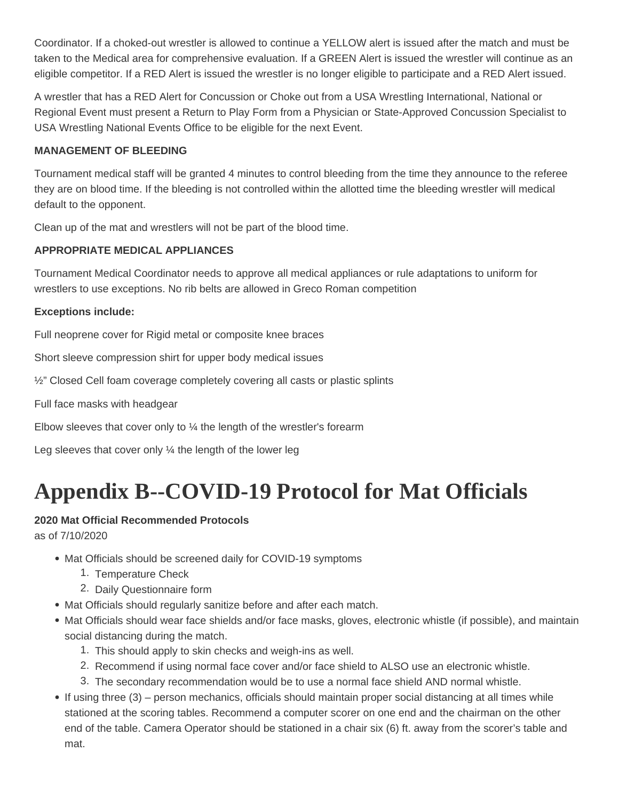<span id="page-30-0"></span>Coordinator. If a choked-out wrestler is allowed to continue a YELLOW alert is issued after the match and must be taken to the Medical area for comprehensive evaluation. If a GREEN Alert is issued the wrestler will continue as an eligible competitor. If a RED Alert is issued the wrestler is no longer eligible to participate and a RED Alert issued.

A wrestler that has a RED Alert for Concussion or Choke out from a USA Wrestling International, National or Regional Event must present a Return to Play Form from a Physician or State-Approved Concussion Specialist to USA Wrestling National Events Office to be eligible for the next Event.

#### **MANAGEMENT OF BLEEDING**

Tournament medical staff will be granted 4 minutes to control bleeding from the time they announce to the referee they are on blood time. If the bleeding is not controlled within the allotted time the bleeding wrestler will medical default to the opponent.

Clean up of the mat and wrestlers will not be part of the blood time.

#### **APPROPRIATE MEDICAL APPLIANCES**

Tournament Medical Coordinator needs to approve all medical appliances or rule adaptations to uniform for wrestlers to use exceptions. No rib belts are allowed in Greco Roman competition

#### **Exceptions include:**

Full neoprene cover for Rigid metal or composite knee braces

Short sleeve compression shirt for upper body medical issues

½" Closed Cell foam coverage completely covering all casts or plastic splints

Full face masks with headgear

Elbow sleeves that cover only to  $\frac{1}{4}$  the length of the wrestler's forearm

Leg sleeves that cover only  $\frac{1}{4}$  the length of the lower leg

## **Appendix B--COVID-19 Protocol for Mat Officials**

#### **2020 Mat Official Recommended Protocols**

as of 7/10/2020

- Mat Officials should be screened daily for COVID-19 symptoms
	- 1. Temperature Check
	- 2. Daily Questionnaire form
- Mat Officials should regularly sanitize before and after each match.
- Mat Officials should wear face shields and/or face masks, gloves, electronic whistle (if possible), and maintain social distancing during the match.
	- 1. This should apply to skin checks and weigh-ins as well.
	- 2. Recommend if using normal face cover and/or face shield to ALSO use an electronic whistle.
	- 3. The secondary recommendation would be to use a normal face shield AND normal whistle.
- If using three (3) person mechanics, officials should maintain proper social distancing at all times while stationed at the scoring tables. Recommend a computer scorer on one end and the chairman on the other end of the table. Camera Operator should be stationed in a chair six (6) ft. away from the scorer's table and mat.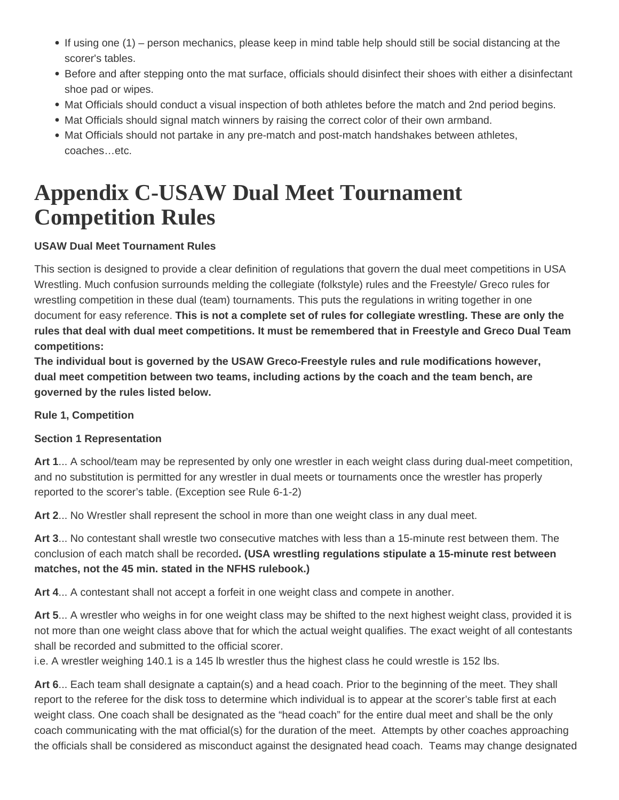- <span id="page-31-0"></span>If using one (1) – person mechanics, please keep in mind table help should still be social distancing at the scorer's tables.
- Before and after stepping onto the mat surface, officials should disinfect their shoes with either a disinfectant shoe pad or wipes.
- Mat Officials should conduct a visual inspection of both athletes before the match and 2nd period begins.
- Mat Officials should signal match winners by raising the correct color of their own armband.
- Mat Officials should not partake in any pre-match and post-match handshakes between athletes, coaches…etc.

## **Appendix C-USAW Dual Meet Tournament Competition Rules**

#### **USAW Dual Meet Tournament Rules**

This section is designed to provide a clear definition of regulations that govern the dual meet competitions in USA Wrestling. Much confusion surrounds melding the collegiate (folkstyle) rules and the Freestyle/ Greco rules for wrestling competition in these dual (team) tournaments. This puts the regulations in writing together in one document for easy reference. **This is not a complete set of rules for collegiate wrestling. These are only the rules that deal with dual meet competitions. It must be remembered that in Freestyle and Greco Dual Team competitions:**

**The individual bout is governed by the USAW Greco-Freestyle rules and rule modifications however, dual meet competition between two teams, including actions by the coach and the team bench, are governed by the rules listed below.**

#### **Rule 1, Competition**

#### **Section 1 Representation**

**Art 1**... A school/team may be represented by only one wrestler in each weight class during dual-meet competition, and no substitution is permitted for any wrestler in dual meets or tournaments once the wrestler has properly reported to the scorer's table. (Exception see Rule 6-1-2)

**Art 2**... No Wrestler shall represent the school in more than one weight class in any dual meet.

**Art 3**... No contestant shall wrestle two consecutive matches with less than a 15-minute rest between them. The conclusion of each match shall be recorded**. (USA wrestling regulations stipulate a 15-minute rest between matches, not the 45 min. stated in the NFHS rulebook.)**

**Art 4**... A contestant shall not accept a forfeit in one weight class and compete in another.

**Art 5**... A wrestler who weighs in for one weight class may be shifted to the next highest weight class, provided it is not more than one weight class above that for which the actual weight qualifies. The exact weight of all contestants shall be recorded and submitted to the official scorer.

i.e. A wrestler weighing 140.1 is a 145 lb wrestler thus the highest class he could wrestle is 152 lbs.

**Art 6**... Each team shall designate a captain(s) and a head coach. Prior to the beginning of the meet. They shall report to the referee for the disk toss to determine which individual is to appear at the scorer's table first at each weight class. One coach shall be designated as the "head coach" for the entire dual meet and shall be the only coach communicating with the mat official(s) for the duration of the meet. Attempts by other coaches approaching the officials shall be considered as misconduct against the designated head coach. Teams may change designated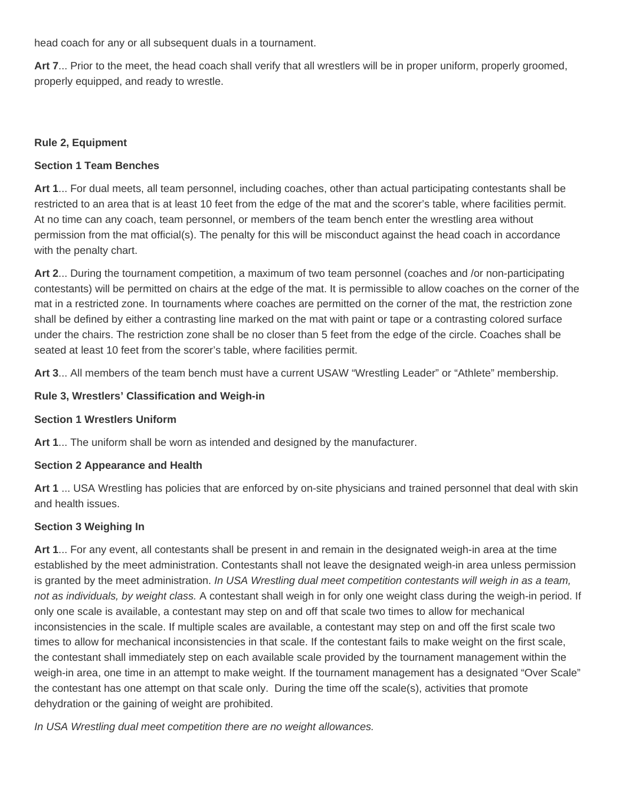head coach for any or all subsequent duals in a tournament.

**Art 7**... Prior to the meet, the head coach shall verify that all wrestlers will be in proper uniform, properly groomed, properly equipped, and ready to wrestle.

#### **Rule 2, Equipment**

#### **Section 1 Team Benches**

**Art 1**... For dual meets, all team personnel, including coaches, other than actual participating contestants shall be restricted to an area that is at least 10 feet from the edge of the mat and the scorer's table, where facilities permit. At no time can any coach, team personnel, or members of the team bench enter the wrestling area without permission from the mat official(s). The penalty for this will be misconduct against the head coach in accordance with the penalty chart.

**Art 2**... During the tournament competition, a maximum of two team personnel (coaches and /or non-participating contestants) will be permitted on chairs at the edge of the mat. It is permissible to allow coaches on the corner of the mat in a restricted zone. In tournaments where coaches are permitted on the corner of the mat, the restriction zone shall be defined by either a contrasting line marked on the mat with paint or tape or a contrasting colored surface under the chairs. The restriction zone shall be no closer than 5 feet from the edge of the circle. Coaches shall be seated at least 10 feet from the scorer's table, where facilities permit.

**Art 3**... All members of the team bench must have a current USAW "Wrestling Leader" or "Athlete" membership.

#### **Rule 3, Wrestlers' Classification and Weigh-in**

#### **Section 1 Wrestlers Uniform**

**Art 1**... The uniform shall be worn as intended and designed by the manufacturer.

#### **Section 2 Appearance and Health**

**Art 1** ... USA Wrestling has policies that are enforced by on-site physicians and trained personnel that deal with skin and health issues.

#### **Section 3 Weighing In**

**Art 1**... For any event, all contestants shall be present in and remain in the designated weigh-in area at the time established by the meet administration. Contestants shall not leave the designated weigh-in area unless permission is granted by the meet administration. In USA Wrestling dual meet competition contestants will weigh in as a team, not as individuals, by weight class. A contestant shall weigh in for only one weight class during the weigh-in period. If only one scale is available, a contestant may step on and off that scale two times to allow for mechanical inconsistencies in the scale. If multiple scales are available, a contestant may step on and off the first scale two times to allow for mechanical inconsistencies in that scale. If the contestant fails to make weight on the first scale, the contestant shall immediately step on each available scale provided by the tournament management within the weigh-in area, one time in an attempt to make weight. If the tournament management has a designated "Over Scale" the contestant has one attempt on that scale only. During the time off the scale(s), activities that promote dehydration or the gaining of weight are prohibited.

In USA Wrestling dual meet competition there are no weight allowances.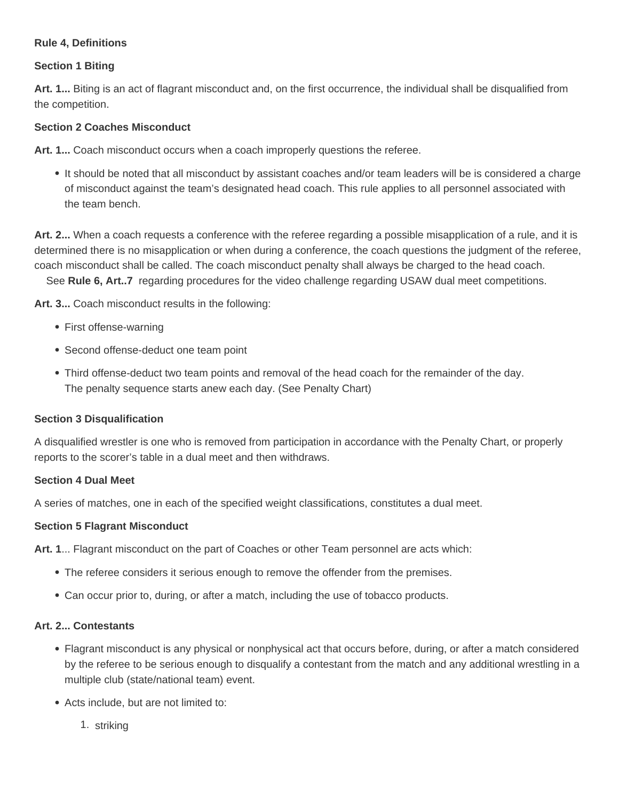#### **Rule 4, Definitions**

#### **Section 1 Biting**

**Art. 1...** Biting is an act of flagrant misconduct and, on the first occurrence, the individual shall be disqualified from the competition.

#### **Section 2 Coaches Misconduct**

**Art. 1...** Coach misconduct occurs when a coach improperly questions the referee.

It should be noted that all misconduct by assistant coaches and/or team leaders will be is considered a charge of misconduct against the team's designated head coach. This rule applies to all personnel associated with the team bench.

**Art. 2...** When a coach requests a conference with the referee regarding a possible misapplication of a rule, and it is determined there is no misapplication or when during a conference, the coach questions the judgment of the referee, coach misconduct shall be called. The coach misconduct penalty shall always be charged to the head coach.

See **Rule 6, Art..7** regarding procedures for the video challenge regarding USAW dual meet competitions.

**Art. 3...** Coach misconduct results in the following:

- First offense-warning
- Second offense-deduct one team point
- Third offense-deduct two team points and removal of the head coach for the remainder of the day. The penalty sequence starts anew each day. (See Penalty Chart)

#### **Section 3 Disqualification**

A disqualified wrestler is one who is removed from participation in accordance with the Penalty Chart, or properly reports to the scorer's table in a dual meet and then withdraws.

#### **Section 4 Dual Meet**

A series of matches, one in each of the specified weight classifications, constitutes a dual meet.

#### **Section 5 Flagrant Misconduct**

**Art. 1**... Flagrant misconduct on the part of Coaches or other Team personnel are acts which:

- The referee considers it serious enough to remove the offender from the premises.
- Can occur prior to, during, or after a match, including the use of tobacco products.

#### **Art. 2... Contestants**

- Flagrant misconduct is any physical or nonphysical act that occurs before, during, or after a match considered by the referee to be serious enough to disqualify a contestant from the match and any additional wrestling in a multiple club (state/national team) event.
- Acts include, but are not limited to:
	- 1. striking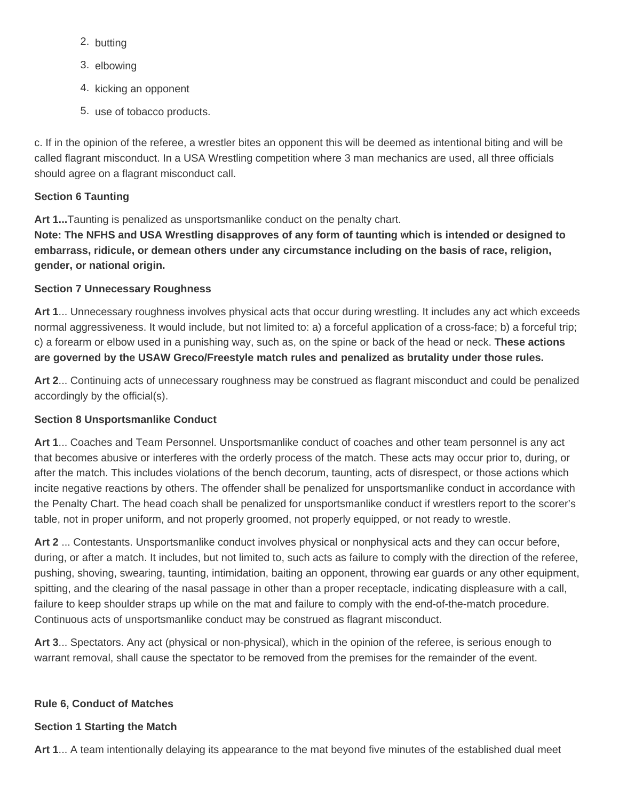- 2. butting
- 3. elbowing
- 4. kicking an opponent
- 5. use of tobacco products.

c. If in the opinion of the referee, a wrestler bites an opponent this will be deemed as intentional biting and will be called flagrant misconduct. In a USA Wrestling competition where 3 man mechanics are used, all three officials should agree on a flagrant misconduct call.

#### **Section 6 Taunting**

**Art 1...**Taunting is penalized as unsportsmanlike conduct on the penalty chart.

**Note: The NFHS and USA Wrestling disapproves of any form of taunting which is intended or designed to embarrass, ridicule, or demean others under any circumstance including on the basis of race, religion, gender, or national origin.**

#### **Section 7 Unnecessary Roughness**

**Art 1**... Unnecessary roughness involves physical acts that occur during wrestling. It includes any act which exceeds normal aggressiveness. It would include, but not limited to: a) a forceful application of a cross-face; b) a forceful trip; c) a forearm or elbow used in a punishing way, such as, on the spine or back of the head or neck. **These actions are governed by the USAW Greco/Freestyle match rules and penalized as brutality under those rules.**

**Art 2**... Continuing acts of unnecessary roughness may be construed as flagrant misconduct and could be penalized accordingly by the official(s).

#### **Section 8 Unsportsmanlike Conduct**

**Art 1**... Coaches and Team Personnel. Unsportsmanlike conduct of coaches and other team personnel is any act that becomes abusive or interferes with the orderly process of the match. These acts may occur prior to, during, or after the match. This includes violations of the bench decorum, taunting, acts of disrespect, or those actions which incite negative reactions by others. The offender shall be penalized for unsportsmanlike conduct in accordance with the Penalty Chart. The head coach shall be penalized for unsportsmanlike conduct if wrestlers report to the scorer's table, not in proper uniform, and not properly groomed, not properly equipped, or not ready to wrestle.

**Art 2** ... Contestants. Unsportsmanlike conduct involves physical or nonphysical acts and they can occur before, during, or after a match. It includes, but not limited to, such acts as failure to comply with the direction of the referee, pushing, shoving, swearing, taunting, intimidation, baiting an opponent, throwing ear guards or any other equipment, spitting, and the clearing of the nasal passage in other than a proper receptacle, indicating displeasure with a call, failure to keep shoulder straps up while on the mat and failure to comply with the end-of-the-match procedure. Continuous acts of unsportsmanlike conduct may be construed as flagrant misconduct.

**Art 3**... Spectators. Any act (physical or non-physical), which in the opinion of the referee, is serious enough to warrant removal, shall cause the spectator to be removed from the premises for the remainder of the event.

#### **Rule 6, Conduct of Matches**

#### **Section 1 Starting the Match**

**Art 1**... A team intentionally delaying its appearance to the mat beyond five minutes of the established dual meet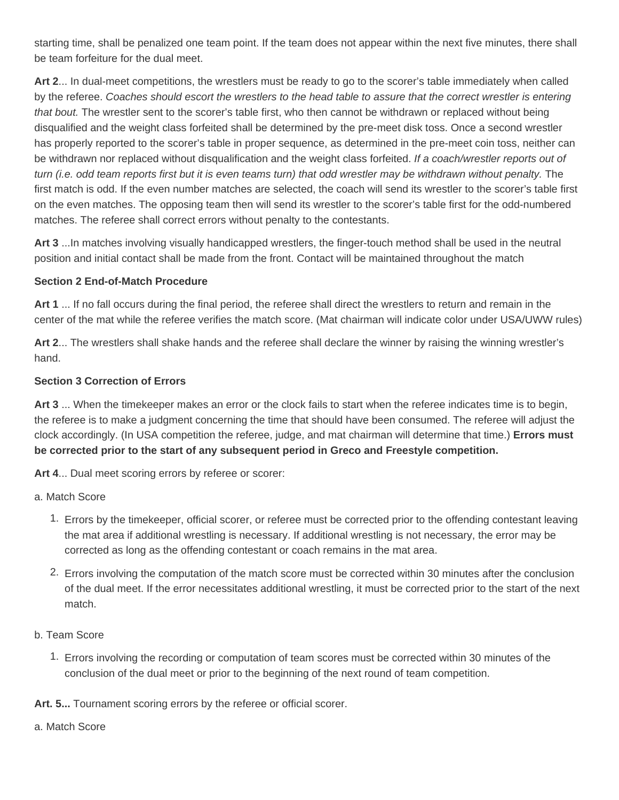starting time, shall be penalized one team point. If the team does not appear within the next five minutes, there shall be team forfeiture for the dual meet.

**Art 2**... In dual-meet competitions, the wrestlers must be ready to go to the scorer's table immediately when called by the referee. Coaches should escort the wrestlers to the head table to assure that the correct wrestler is entering that bout. The wrestler sent to the scorer's table first, who then cannot be withdrawn or replaced without being disqualified and the weight class forfeited shall be determined by the pre-meet disk toss. Once a second wrestler has properly reported to the scorer's table in proper sequence, as determined in the pre-meet coin toss, neither can be withdrawn nor replaced without disqualification and the weight class forfeited. If a coach/wrestler reports out of turn (i.e. odd team reports first but it is even teams turn) that odd wrestler may be withdrawn without penalty. The first match is odd. If the even number matches are selected, the coach will send its wrestler to the scorer's table first on the even matches. The opposing team then will send its wrestler to the scorer's table first for the odd-numbered matches. The referee shall correct errors without penalty to the contestants.

**Art 3** ...In matches involving visually handicapped wrestlers, the finger-touch method shall be used in the neutral position and initial contact shall be made from the front. Contact will be maintained throughout the match

#### **Section 2 End-of-Match Procedure**

**Art 1** ... If no fall occurs during the final period, the referee shall direct the wrestlers to return and remain in the center of the mat while the referee verifies the match score. (Mat chairman will indicate color under USA/UWW rules)

**Art 2**... The wrestlers shall shake hands and the referee shall declare the winner by raising the winning wrestler's hand.

#### **Section 3 Correction of Errors**

**Art 3** ... When the timekeeper makes an error or the clock fails to start when the referee indicates time is to begin, the referee is to make a judgment concerning the time that should have been consumed. The referee will adjust the clock accordingly. (In USA competition the referee, judge, and mat chairman will determine that time.) **Errors must be corrected prior to the start of any subsequent period in Greco and Freestyle competition.**

**Art 4**... Dual meet scoring errors by referee or scorer:

a. Match Score

- 1. Errors by the timekeeper, official scorer, or referee must be corrected prior to the offending contestant leaving the mat area if additional wrestling is necessary. If additional wrestling is not necessary, the error may be corrected as long as the offending contestant or coach remains in the mat area.
- 2. Errors involving the computation of the match score must be corrected within 30 minutes after the conclusion of the dual meet. If the error necessitates additional wrestling, it must be corrected prior to the start of the next match.
- b. Team Score
	- 1. Errors involving the recording or computation of team scores must be corrected within 30 minutes of the conclusion of the dual meet or prior to the beginning of the next round of team competition.

**Art. 5...** Tournament scoring errors by the referee or official scorer.

a. Match Score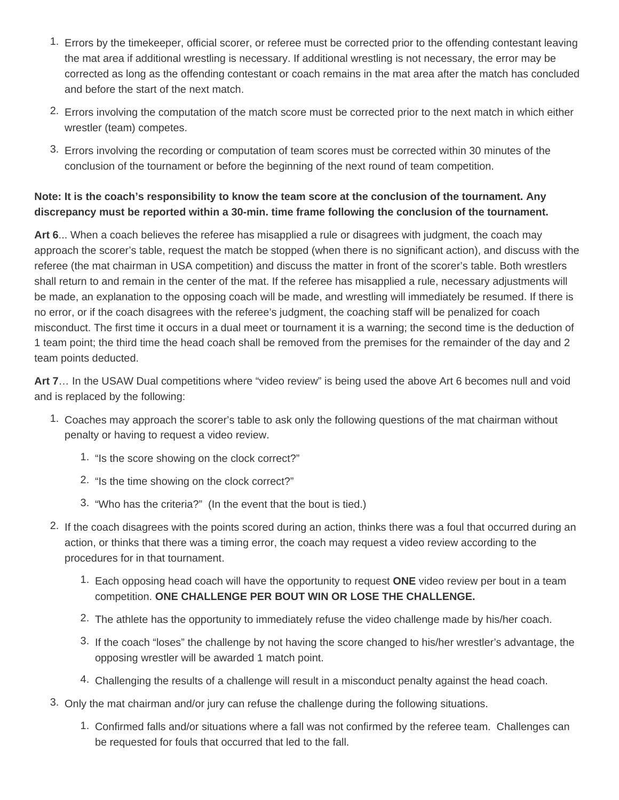- 1. Errors by the timekeeper, official scorer, or referee must be corrected prior to the offending contestant leaving the mat area if additional wrestling is necessary. If additional wrestling is not necessary, the error may be corrected as long as the offending contestant or coach remains in the mat area after the match has concluded and before the start of the next match.
- 2. Errors involving the computation of the match score must be corrected prior to the next match in which either wrestler (team) competes.
- 3. Errors involving the recording or computation of team scores must be corrected within 30 minutes of the conclusion of the tournament or before the beginning of the next round of team competition.

#### **Note: It is the coach's responsibility to know the team score at the conclusion of the tournament. Any discrepancy must be reported within a 30-min. time frame following the conclusion of the tournament.**

**Art 6**... When a coach believes the referee has misapplied a rule or disagrees with judgment, the coach may approach the scorer's table, request the match be stopped (when there is no significant action), and discuss with the referee (the mat chairman in USA competition) and discuss the matter in front of the scorer's table. Both wrestlers shall return to and remain in the center of the mat. If the referee has misapplied a rule, necessary adjustments will be made, an explanation to the opposing coach will be made, and wrestling will immediately be resumed. If there is no error, or if the coach disagrees with the referee's judgment, the coaching staff will be penalized for coach misconduct. The first time it occurs in a dual meet or tournament it is a warning; the second time is the deduction of 1 team point; the third time the head coach shall be removed from the premises for the remainder of the day and 2 team points deducted.

**Art 7**… In the USAW Dual competitions where "video review" is being used the above Art 6 becomes null and void and is replaced by the following:

- 1. Coaches may approach the scorer's table to ask only the following questions of the mat chairman without penalty or having to request a video review.
	- 1. "Is the score showing on the clock correct?"
	- 2. "Is the time showing on the clock correct?"
	- 3. "Who has the criteria?" (In the event that the bout is tied.)
- 2. If the coach disagrees with the points scored during an action, thinks there was a foul that occurred during an action, or thinks that there was a timing error, the coach may request a video review according to the procedures for in that tournament.
	- 1. Each opposing head coach will have the opportunity to request **ONE** video review per bout in a team competition. **ONE CHALLENGE PER BOUT WIN OR LOSE THE CHALLENGE.**
	- 2. The athlete has the opportunity to immediately refuse the video challenge made by his/her coach.
	- 3. If the coach "loses" the challenge by not having the score changed to his/her wrestler's advantage, the opposing wrestler will be awarded 1 match point.
	- 4. Challenging the results of a challenge will result in a misconduct penalty against the head coach.
- 3. Only the mat chairman and/or jury can refuse the challenge during the following situations.
	- 1. Confirmed falls and/or situations where a fall was not confirmed by the referee team. Challenges can be requested for fouls that occurred that led to the fall.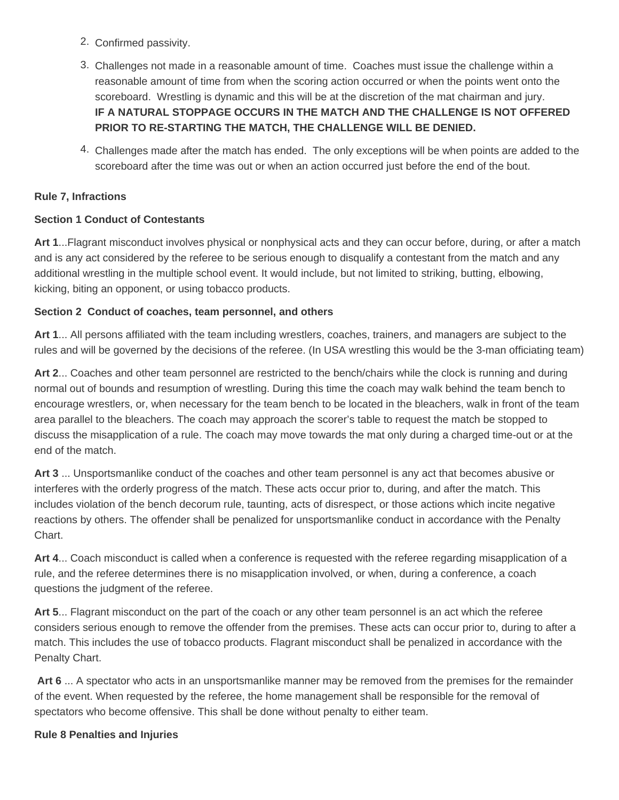- 2. Confirmed passivity.
- 3. Challenges not made in a reasonable amount of time. Coaches must issue the challenge within a reasonable amount of time from when the scoring action occurred or when the points went onto the scoreboard. Wrestling is dynamic and this will be at the discretion of the mat chairman and jury. **IF A NATURAL STOPPAGE OCCURS IN THE MATCH AND THE CHALLENGE IS NOT OFFERED PRIOR TO RE-STARTING THE MATCH, THE CHALLENGE WILL BE DENIED.**
- 4. Challenges made after the match has ended. The only exceptions will be when points are added to the scoreboard after the time was out or when an action occurred just before the end of the bout.

#### **Rule 7, Infractions**

#### **Section 1 Conduct of Contestants**

**Art 1**...Flagrant misconduct involves physical or nonphysical acts and they can occur before, during, or after a match and is any act considered by the referee to be serious enough to disqualify a contestant from the match and any additional wrestling in the multiple school event. It would include, but not limited to striking, butting, elbowing, kicking, biting an opponent, or using tobacco products.

#### **Section 2 Conduct of coaches, team personnel, and others**

**Art 1**... All persons affiliated with the team including wrestlers, coaches, trainers, and managers are subject to the rules and will be governed by the decisions of the referee. (In USA wrestling this would be the 3-man officiating team)

**Art 2**... Coaches and other team personnel are restricted to the bench/chairs while the clock is running and during normal out of bounds and resumption of wrestling. During this time the coach may walk behind the team bench to encourage wrestlers, or, when necessary for the team bench to be located in the bleachers, walk in front of the team area parallel to the bleachers. The coach may approach the scorer's table to request the match be stopped to discuss the misapplication of a rule. The coach may move towards the mat only during a charged time-out or at the end of the match.

**Art 3** ... Unsportsmanlike conduct of the coaches and other team personnel is any act that becomes abusive or interferes with the orderly progress of the match. These acts occur prior to, during, and after the match. This includes violation of the bench decorum rule, taunting, acts of disrespect, or those actions which incite negative reactions by others. The offender shall be penalized for unsportsmanlike conduct in accordance with the Penalty Chart.

**Art 4**... Coach misconduct is called when a conference is requested with the referee regarding misapplication of a rule, and the referee determines there is no misapplication involved, or when, during a conference, a coach questions the judgment of the referee.

**Art 5**... Flagrant misconduct on the part of the coach or any other team personnel is an act which the referee considers serious enough to remove the offender from the premises. These acts can occur prior to, during to after a match. This includes the use of tobacco products. Flagrant misconduct shall be penalized in accordance with the Penalty Chart.

**Art 6** ... A spectator who acts in an unsportsmanlike manner may be removed from the premises for the remainder of the event. When requested by the referee, the home management shall be responsible for the removal of spectators who become offensive. This shall be done without penalty to either team.

#### **Rule 8 Penalties and Injuries**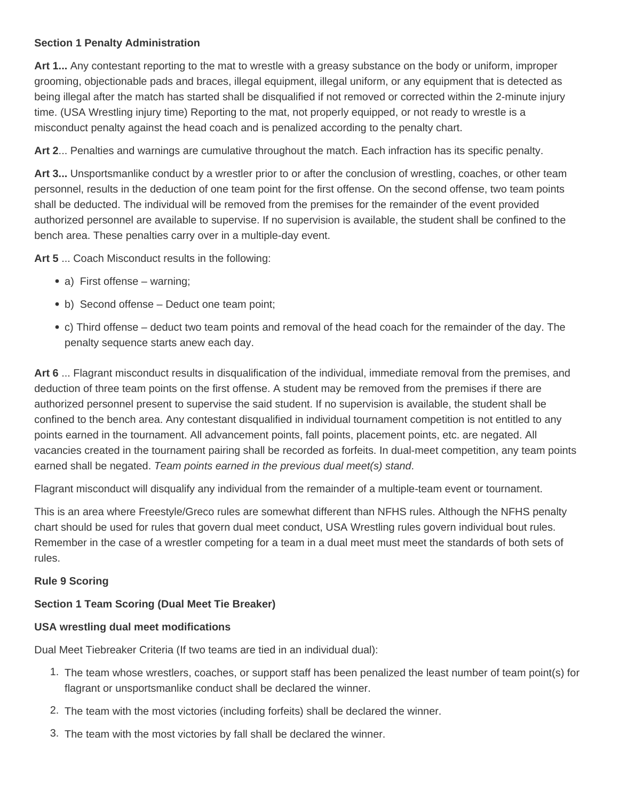#### **Section 1 Penalty Administration**

**Art 1...** Any contestant reporting to the mat to wrestle with a greasy substance on the body or uniform, improper grooming, objectionable pads and braces, illegal equipment, illegal uniform, or any equipment that is detected as being illegal after the match has started shall be disqualified if not removed or corrected within the 2-minute injury time. (USA Wrestling injury time) Reporting to the mat, not properly equipped, or not ready to wrestle is a misconduct penalty against the head coach and is penalized according to the penalty chart.

**Art 2**... Penalties and warnings are cumulative throughout the match. Each infraction has its specific penalty.

**Art 3...** Unsportsmanlike conduct by a wrestler prior to or after the conclusion of wrestling, coaches, or other team personnel, results in the deduction of one team point for the first offense. On the second offense, two team points shall be deducted. The individual will be removed from the premises for the remainder of the event provided authorized personnel are available to supervise. If no supervision is available, the student shall be confined to the bench area. These penalties carry over in a multiple-day event.

**Art 5** ... Coach Misconduct results in the following:

- a) First offense warning;
- b) Second offense Deduct one team point;
- c) Third offense deduct two team points and removal of the head coach for the remainder of the day. The penalty sequence starts anew each day.

**Art 6** ... Flagrant misconduct results in disqualification of the individual, immediate removal from the premises, and deduction of three team points on the first offense. A student may be removed from the premises if there are authorized personnel present to supervise the said student. If no supervision is available, the student shall be confined to the bench area. Any contestant disqualified in individual tournament competition is not entitled to any points earned in the tournament. All advancement points, fall points, placement points, etc. are negated. All vacancies created in the tournament pairing shall be recorded as forfeits. In dual-meet competition, any team points earned shall be negated. Team points earned in the previous dual meet(s) stand.

Flagrant misconduct will disqualify any individual from the remainder of a multiple-team event or tournament.

This is an area where Freestyle/Greco rules are somewhat different than NFHS rules. Although the NFHS penalty chart should be used for rules that govern dual meet conduct, USA Wrestling rules govern individual bout rules. Remember in the case of a wrestler competing for a team in a dual meet must meet the standards of both sets of rules.

#### **Rule 9 Scoring**

#### **Section 1 Team Scoring (Dual Meet Tie Breaker)**

#### **USA wrestling dual meet modifications**

Dual Meet Tiebreaker Criteria (If two teams are tied in an individual dual):

- 1. The team whose wrestlers, coaches, or support staff has been penalized the least number of team point(s) for flagrant or unsportsmanlike conduct shall be declared the winner.
- 2. The team with the most victories (including forfeits) shall be declared the winner.
- 3. The team with the most victories by fall shall be declared the winner.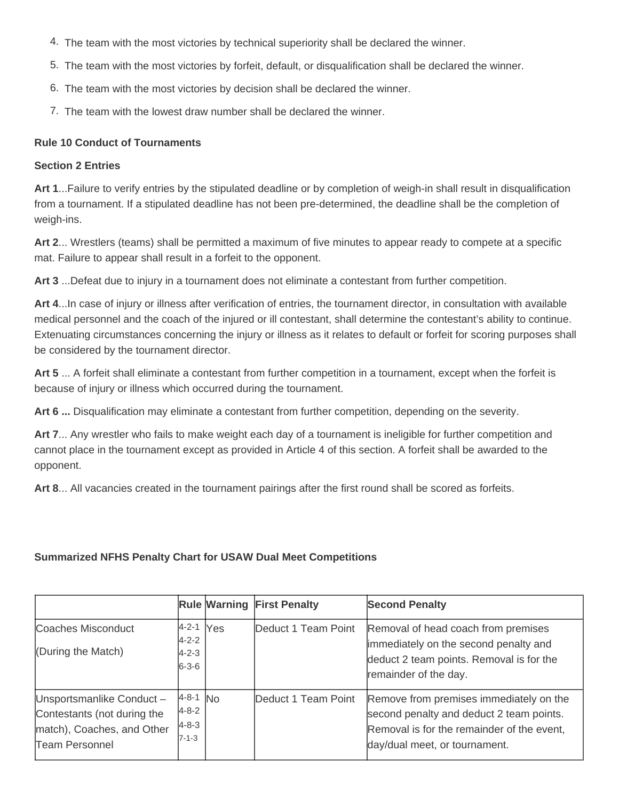- 4. The team with the most victories by technical superiority shall be declared the winner.
- 5. The team with the most victories by forfeit, default, or disqualification shall be declared the winner.
- 6. The team with the most victories by decision shall be declared the winner.
- 7. The team with the lowest draw number shall be declared the winner.

#### **Rule 10 Conduct of Tournaments**

#### **Section 2 Entries**

**Art 1**...Failure to verify entries by the stipulated deadline or by completion of weigh-in shall result in disqualification from a tournament. If a stipulated deadline has not been pre-determined, the deadline shall be the completion of weigh-ins.

**Art 2**... Wrestlers (teams) shall be permitted a maximum of five minutes to appear ready to compete at a specific mat. Failure to appear shall result in a forfeit to the opponent.

**Art 3** ...Defeat due to injury in a tournament does not eliminate a contestant from further competition.

**Art 4**...In case of injury or illness after verification of entries, the tournament director, in consultation with available medical personnel and the coach of the injured or ill contestant, shall determine the contestant's ability to continue. Extenuating circumstances concerning the injury or illness as it relates to default or forfeit for scoring purposes shall be considered by the tournament director.

**Art 5** ... A forfeit shall eliminate a contestant from further competition in a tournament, except when the forfeit is because of injury or illness which occurred during the tournament.

**Art 6 ...** Disqualification may eliminate a contestant from further competition, depending on the severity.

**Art 7**... Any wrestler who fails to make weight each day of a tournament is ineligible for further competition and cannot place in the tournament except as provided in Article 4 of this section. A forfeit shall be awarded to the opponent.

**Art 8**... All vacancies created in the tournament pairings after the first round shall be scored as forfeits.

#### **Summarized NFHS Penalty Chart for USAW Dual Meet Competitions**

|                                                                                                         |                                                         |            | <b>Rule Warning First Penalty</b> | <b>Second Penalty</b>                                                                                                                                              |
|---------------------------------------------------------------------------------------------------------|---------------------------------------------------------|------------|-----------------------------------|--------------------------------------------------------------------------------------------------------------------------------------------------------------------|
| Coaches Misconduct<br>(During the Match)                                                                | $ 4-2-1 $<br>$4 - 2 - 2$<br>$4 - 2 - 3$<br>$6 - 3 - 6$  | <b>Yes</b> | Deduct 1 Team Point               | Removal of head coach from premises<br>immediately on the second penalty and<br>deduct 2 team points. Removal is for the<br>remainder of the day.                  |
| Unsportsmanlike Conduct-<br>Contestants (not during the<br>match), Coaches, and Other<br>Team Personnel | $4-8-1$ No<br>$4 - 8 - 2$<br>$4 - 8 - 3$<br>$7 - 1 - 3$ |            | Deduct 1 Team Point               | Remove from premises immediately on the<br>second penalty and deduct 2 team points.<br>Removal is for the remainder of the event,<br>day/dual meet, or tournament. |